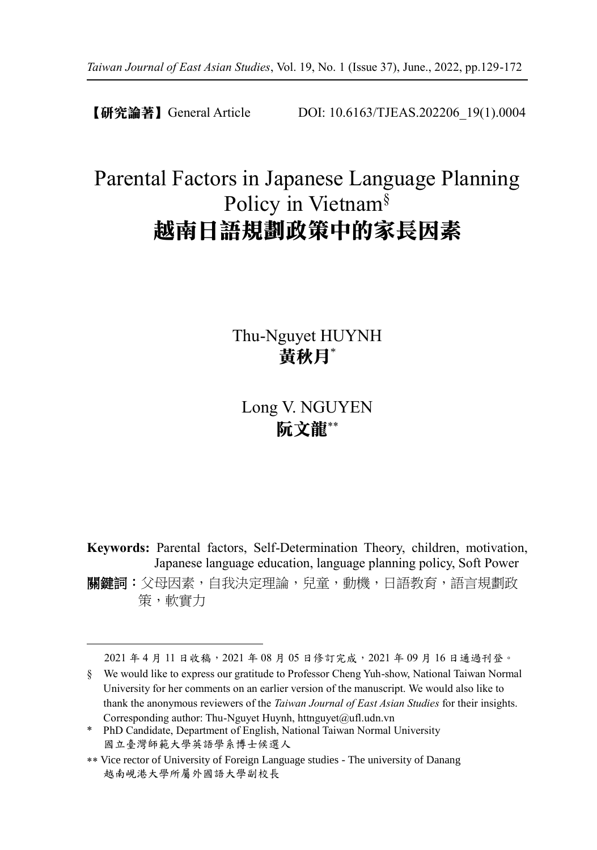【研究論著】General Article DOI: 10.6163/TJEAS.202206\_19(1).0004

# Parental Factors in Japanese Language Planning Policy in Vietnam§ 越南日語規劃政策中的家長因素

Thu-Nguyet HUYNH 黃秋月\*

Long V. NGUYEN 阮文龍

**Keywords:** Parental factors, Self-Determination Theory, children, motivation, Japanese language education, language planning policy, Soft Power 關鍵詞:父母因素,自我決定理論,兒童,動機,日語教育,語言規劃政 策,軟實力

2021 年 4 月 11 日收稿,2021 年 08 月 05 日修訂完成,2021 年 09 月 16 日通過刊登。

§ We would like to express our gratitude to Professor Cheng Yuh-show, National Taiwan Normal University for her comments on an earlier version of the manuscript. We would also like to thank the anonymous reviewers of the *Taiwan Journal of East Asian Studies* for their insights. Corresponding author: Thu-Nguyet Huynh, httnguyet@ufl.udn.vn

<sup>\*</sup> PhD Candidate, Department of English, National Taiwan Normal University 國立臺灣師範大學英語學系博士候選人

<sup>\*\*</sup> Vice rector of University of Foreign Language studies - The university of Danang 越南峴港大學所屬外國語大學副校長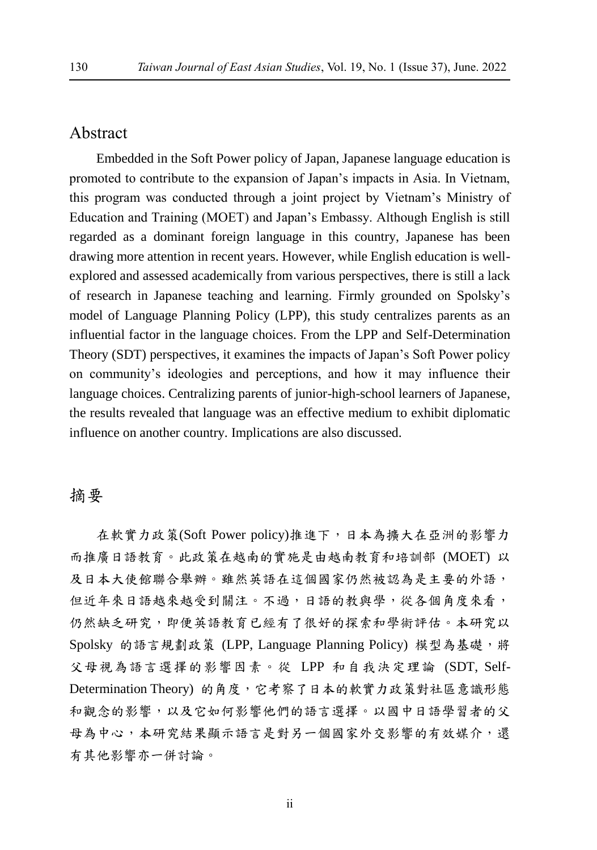# Abstract

Embedded in the Soft Power policy of Japan, Japanese language education is promoted to contribute to the expansion of Japan's impacts in Asia. In Vietnam, this program was conducted through a joint project by Vietnam's Ministry of Education and Training (MOET) and Japan's Embassy. Although English is still regarded as a dominant foreign language in this country, Japanese has been drawing more attention in recent years. However, while English education is wellexplored and assessed academically from various perspectives, there is still a lack of research in Japanese teaching and learning. Firmly grounded on Spolsky's model of Language Planning Policy (LPP), this study centralizes parents as an influential factor in the language choices. From the LPP and Self-Determination Theory (SDT) perspectives, it examines the impacts of Japan's Soft Power policy on community's ideologies and perceptions, and how it may influence their language choices. Centralizing parents of junior-high-school learners of Japanese, the results revealed that language was an effective medium to exhibit diplomatic influence on another country. Implications are also discussed.

# 摘要

在軟實力政策(Soft Power policy)推進下,日本為擴大在亞洲的影響力 而推廣日語教育。此政策在越南的實施是由越南教育和培訓部 (MOET) 以 及日本大使館聯合舉辦。雖然英語在這個國家仍然被認為是主要的外語, 但近年來日語越來越受到關注。不過,日語的教與學,從各個角度來看, 仍然缺乏研究,即便英語教育已經有了很好的探索和學術評估。本研究以 Spolsky 的語言規劃政策 (LPP, Language Planning Policy) 模型為基礎,將 父母視為語言選擇的影響因素。從 LPP 和自我決定理論 (SDT, Self-Determination Theory) 的角度,它考察了日本的軟實力政策對社區意識形態 和觀念的影響,以及它如何影響他們的語言選擇。以國中日語學習者的父 母為中心,本研究結果顯示語言是對另一個國家外交影響的有效媒介,還 有其他影響亦一併討論。

ii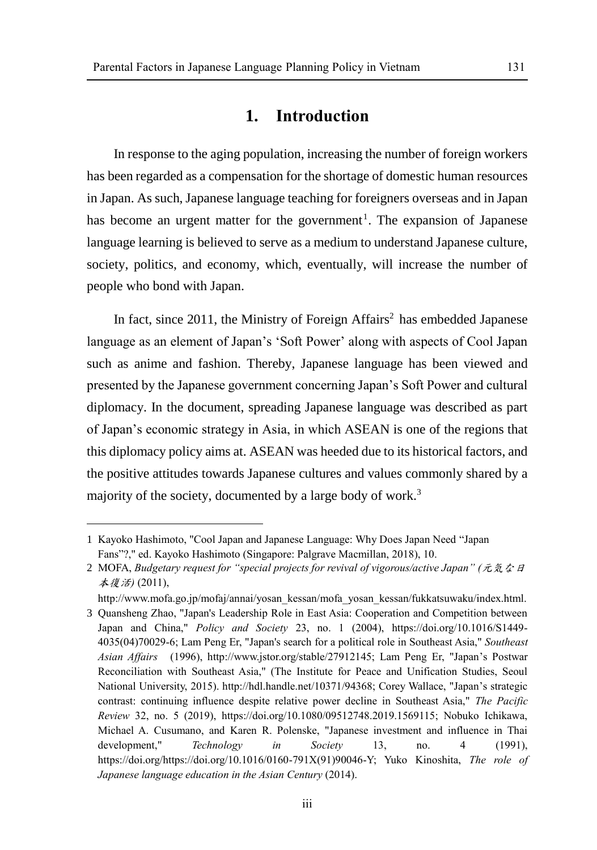# **1. Introduction**

In response to the aging population, increasing the number of foreign workers has been regarded as a compensation for the shortage of domestic human resources in Japan. As such, Japanese language teaching for foreigners overseas and in Japan has become an urgent matter for the government<sup>1</sup>. The expansion of Japanese language learning is believed to serve as a medium to understand Japanese culture, society, politics, and economy, which, eventually, will increase the number of people who bond with Japan.

In fact, since  $2011$ , the Ministry of Foreign Affairs<sup>2</sup> has embedded Japanese language as an element of Japan's 'Soft Power' along with aspects of Cool Japan such as anime and fashion. Thereby, Japanese language has been viewed and presented by the Japanese government concerning Japan's Soft Power and cultural diplomacy. In the document, spreading Japanese language was described as part of Japan's economic strategy in Asia, in which ASEAN is one of the regions that this diplomacy policy aims at. ASEAN was heeded due to its historical factors, and the positive attitudes towards Japanese cultures and values commonly shared by a majority of the society, documented by a large body of work.<sup>3</sup>

<sup>1</sup> Kayoko Hashimoto, "Cool Japan and Japanese Language: Why Does Japan Need "Japan Fans"?," ed. Kayoko Hashimoto (Singapore: Palgrave Macmillan, 2018), 10.

<sup>2</sup> MOFA, *Budgetary request for "special projects for revival of vigorous/active Japan" (*元気な日 本復活*)* (2011),

http://www.mofa.go.jp/mofaj/annai/yosan\_kessan/mofa\_yosan\_kessan/fukkatsuwaku/index.html. 3 Quansheng Zhao, "Japan's Leadership Role in East Asia: Cooperation and Competition between Japan and China," *Policy and Society* 23, no. 1 (2004), https://doi.org/10.1016/S1449- 4035(04)70029-6; Lam Peng Er, "Japan's search for a political role in Southeast Asia," *Southeast Asian Affairs* (1996), http://www.jstor.org/stable/27912145; Lam Peng Er, "Japan's Postwar Reconciliation with Southeast Asia," (The Institute for Peace and Unification Studies, Seoul National University, 2015). http://hdl.handle.net/10371/94368; Corey Wallace, "Japan's strategic contrast: continuing influence despite relative power decline in Southeast Asia," *The Pacific Review* 32, no. 5 (2019), https://doi.org/10.1080/09512748.2019.1569115; Nobuko Ichikawa, Michael A. Cusumano, and Karen R. Polenske, "Japanese investment and influence in Thai development," *Technology in Society* 13, no. 4 (1991), https://doi.org/https://doi.org/10.1016/0160-791X(91)90046-Y; Yuko Kinoshita, *The role of Japanese language education in the Asian Century* (2014).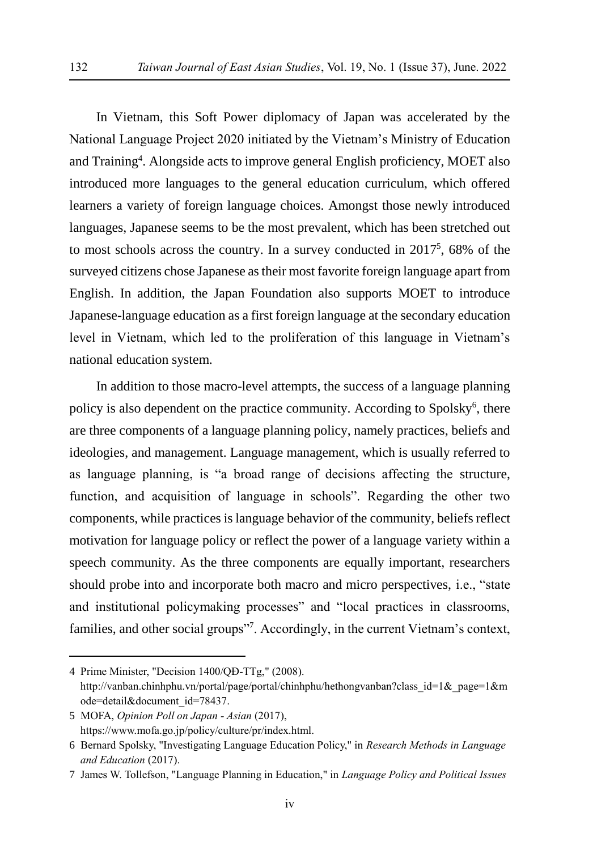In Vietnam, this Soft Power diplomacy of Japan was accelerated by the National Language Project 2020 initiated by the Vietnam's Ministry of Education and Training<sup>4</sup>. Alongside acts to improve general English proficiency, MOET also introduced more languages to the general education curriculum, which offered learners a variety of foreign language choices. Amongst those newly introduced languages, Japanese seems to be the most prevalent, which has been stretched out to most schools across the country. In a survey conducted in 2017<sup>5</sup> , 68% of the surveyed citizens chose Japanese as their most favorite foreign language apart from English. In addition, the Japan Foundation also supports MOET to introduce Japanese-language education as a first foreign language at the secondary education level in Vietnam, which led to the proliferation of this language in Vietnam's national education system.

In addition to those macro-level attempts, the success of a language planning policy is also dependent on the practice community. According to Spolsky<sup>6</sup>, there are three components of a language planning policy, namely practices, beliefs and ideologies, and management. Language management, which is usually referred to as language planning, is "a broad range of decisions affecting the structure, function, and acquisition of language in schools". Regarding the other two components, while practices is language behavior of the community, beliefs reflect motivation for language policy or reflect the power of a language variety within a speech community. As the three components are equally important, researchers should probe into and incorporate both macro and micro perspectives, i.e., "state and institutional policymaking processes" and "local practices in classrooms, families, and other social groups"<sup>7</sup>. Accordingly, in the current Vietnam's context,

<sup>4</sup> Prime Minister, "Decision 1400/QĐ-TTg," (2008). http://vanban.chinhphu.vn/portal/page/portal/chinhphu/hethongvanban?class\_id=1&\_page=1&m ode=detail&document\_id=78437.

<sup>5</sup> MOFA, *Opinion Poll on Japan - Asian* (2017), https://www.mofa.go.jp/policy/culture/pr/index.html.

<sup>6</sup> Bernard Spolsky, "Investigating Language Education Policy," in *Research Methods in Language and Education* (2017).

<sup>7</sup> James W. Tollefson, "Language Planning in Education," in *Language Policy and Political Issues*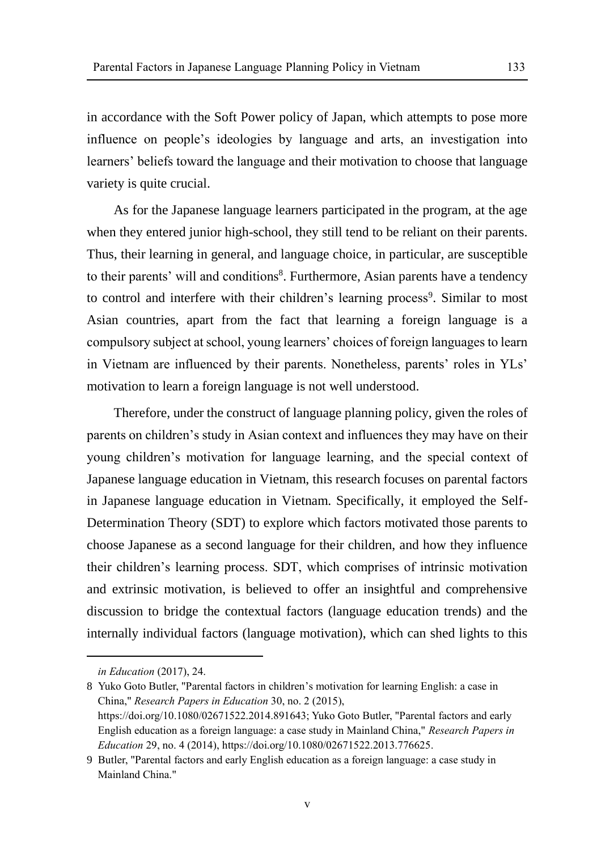in accordance with the Soft Power policy of Japan, which attempts to pose more influence on people's ideologies by language and arts, an investigation into learners' beliefs toward the language and their motivation to choose that language variety is quite crucial.

As for the Japanese language learners participated in the program, at the age when they entered junior high-school, they still tend to be reliant on their parents. Thus, their learning in general, and language choice, in particular, are susceptible to their parents' will and conditions<sup>8</sup>. Furthermore, Asian parents have a tendency to control and interfere with their children's learning process<sup>9</sup>. Similar to most Asian countries, apart from the fact that learning a foreign language is a compulsory subject at school, young learners' choices of foreign languages to learn in Vietnam are influenced by their parents. Nonetheless, parents' roles in YLs' motivation to learn a foreign language is not well understood.

Therefore, under the construct of language planning policy, given the roles of parents on children's study in Asian context and influences they may have on their young children's motivation for language learning, and the special context of Japanese language education in Vietnam, this research focuses on parental factors in Japanese language education in Vietnam. Specifically, it employed the Self-Determination Theory (SDT) to explore which factors motivated those parents to choose Japanese as a second language for their children, and how they influence their children's learning process. SDT, which comprises of intrinsic motivation and extrinsic motivation, is believed to offer an insightful and comprehensive discussion to bridge the contextual factors (language education trends) and the internally individual factors (language motivation), which can shed lights to this

 $\overline{a}$ 

8 Yuko Goto Butler, "Parental factors in children's motivation for learning English: a case in China," *Research Papers in Education* 30, no. 2 (2015), https://doi.org/10.1080/02671522.2014.891643; Yuko Goto Butler, "Parental factors and early English education as a foreign language: a case study in Mainland China," *Research Papers in Education* 29, no. 4 (2014), https://doi.org/10.1080/02671522.2013.776625.

*in Education* (2017), 24.

<sup>9</sup> Butler, "Parental factors and early English education as a foreign language: a case study in Mainland China."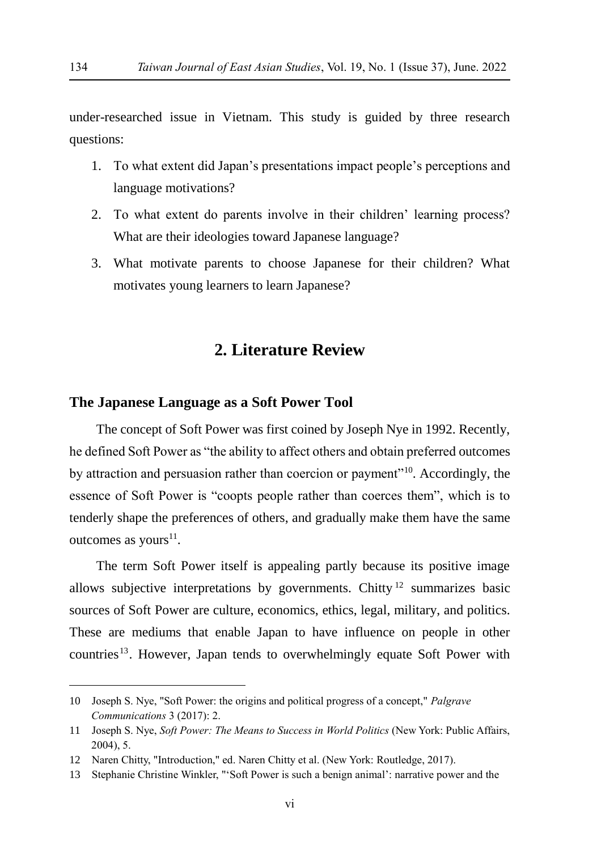under-researched issue in Vietnam. This study is guided by three research questions:

- 1. To what extent did Japan's presentations impact people's perceptions and language motivations?
- 2. To what extent do parents involve in their children' learning process? What are their ideologies toward Japanese language?
- 3. What motivate parents to choose Japanese for their children? What motivates young learners to learn Japanese?

# **2. Literature Review**

#### **The Japanese Language as a Soft Power Tool**

The concept of Soft Power was first coined by Joseph Nye in 1992. Recently, he defined Soft Power as "the ability to affect others and obtain preferred outcomes by attraction and persuasion rather than coercion or payment"<sup>10</sup>. Accordingly, the essence of Soft Power is "coopts people rather than coerces them", which is to tenderly shape the preferences of others, and gradually make them have the same outcomes as yours<sup>11</sup>.

The term Soft Power itself is appealing partly because its positive image allows subjective interpretations by governments. Chitty  $12$  summarizes basic sources of Soft Power are culture, economics, ethics, legal, military, and politics. These are mediums that enable Japan to have influence on people in other countries<sup>13</sup>. However, Japan tends to overwhelmingly equate Soft Power with

<sup>10</sup> Joseph S. Nye, "Soft Power: the origins and political progress of a concept," *Palgrave Communications* 3 (2017): 2.

<sup>11</sup> Joseph S. Nye, *Soft Power: The Means to Success in World Politics* (New York: Public Affairs, 2004), 5.

<sup>12</sup> Naren Chitty, "Introduction," ed. Naren Chitty et al. (New York: Routledge, 2017).

<sup>13</sup> Stephanie Christine Winkler, "'Soft Power is such a benign animal': narrative power and the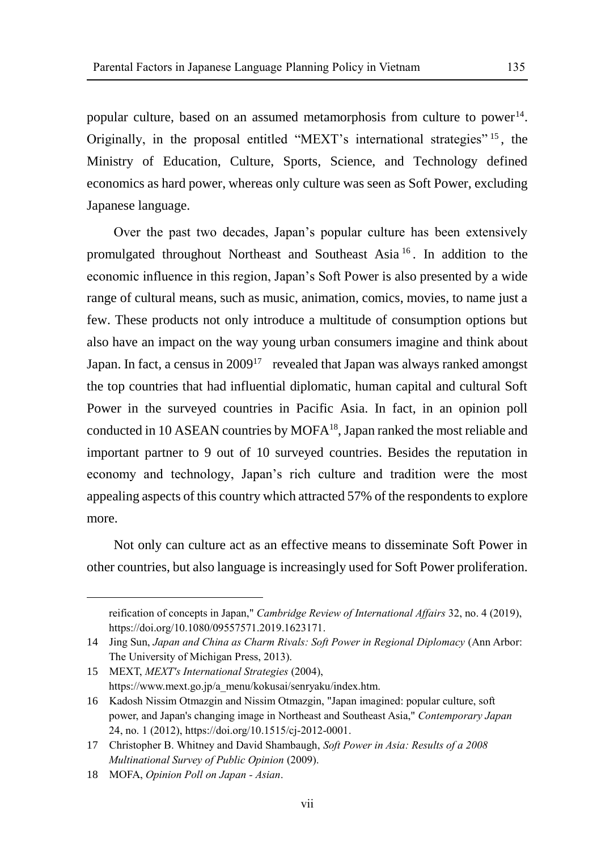popular culture, based on an assumed metamorphosis from culture to power<sup>14</sup>. Originally, in the proposal entitled "MEXT's international strategies" <sup>15</sup> , the Ministry of Education, Culture, Sports, Science, and Technology defined economics as hard power, whereas only culture was seen as Soft Power, excluding Japanese language.

Over the past two decades, Japan's popular culture has been extensively promulgated throughout Northeast and Southeast Asia <sup>16</sup> . In addition to the economic influence in this region, Japan's Soft Power is also presented by a wide range of cultural means, such as music, animation, comics, movies, to name just a few. These products not only introduce a multitude of consumption options but also have an impact on the way young urban consumers imagine and think about Japan. In fact, a census in 2009<sup>17</sup> revealed that Japan was always ranked amongst the top countries that had influential diplomatic, human capital and cultural Soft Power in the surveyed countries in Pacific Asia. In fact, in an opinion poll conducted in 10 ASEAN countries by MOFA<sup>18</sup>, Japan ranked the most reliable and important partner to 9 out of 10 surveyed countries. Besides the reputation in economy and technology, Japan's rich culture and tradition were the most appealing aspects of this country which attracted 57% of the respondents to explore more.

Not only can culture act as an effective means to disseminate Soft Power in other countries, but also language is increasingly used for Soft Power proliferation.

reification of concepts in Japan," *Cambridge Review of International Affairs* 32, no. 4 (2019), https://doi.org/10.1080/09557571.2019.1623171.

<sup>14</sup> Jing Sun, *Japan and China as Charm Rivals: Soft Power in Regional Diplomacy* (Ann Arbor: The University of Michigan Press, 2013).

<sup>15</sup> MEXT, *MEXT's International Strategies* (2004), https://www.mext.go.jp/a\_menu/kokusai/senryaku/index.htm.

<sup>16</sup> Kadosh Nissim Otmazgin and Nissim Otmazgin, "Japan imagined: popular culture, soft power, and Japan's changing image in Northeast and Southeast Asia," *Contemporary Japan* 24, no. 1 (2012), https://doi.org/10.1515/cj-2012-0001.

<sup>17</sup> Christopher B. Whitney and David Shambaugh, *Soft Power in Asia: Results of a 2008 Multinational Survey of Public Opinion* (2009).

<sup>18</sup> MOFA, *Opinion Poll on Japan - Asian*.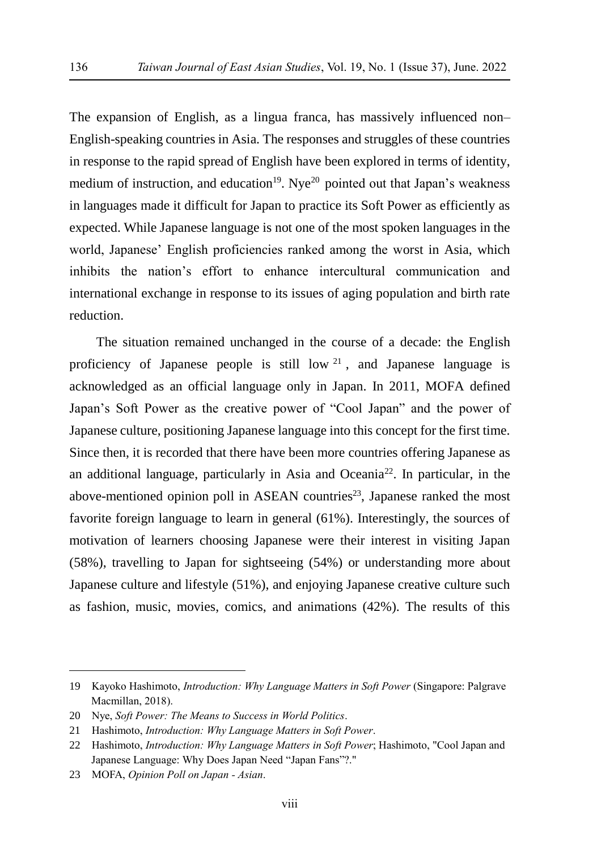The expansion of English, as a lingua franca, has massively influenced non– English-speaking countries in Asia. The responses and struggles of these countries in response to the rapid spread of English have been explored in terms of identity, medium of instruction, and education<sup>19</sup>. Nye<sup>20</sup> pointed out that Japan's weakness in languages made it difficult for Japan to practice its Soft Power as efficiently as expected. While Japanese language is not one of the most spoken languages in the world, Japanese' English proficiencies ranked among the worst in Asia, which inhibits the nation's effort to enhance intercultural communication and international exchange in response to its issues of aging population and birth rate reduction.

The situation remained unchanged in the course of a decade: the English proficiency of Japanese people is still low  $2<sup>1</sup>$ , and Japanese language is acknowledged as an official language only in Japan. In 2011, MOFA defined Japan's Soft Power as the creative power of "Cool Japan" and the power of Japanese culture, positioning Japanese language into this concept for the first time. Since then, it is recorded that there have been more countries offering Japanese as an additional language, particularly in Asia and Oceania<sup>22</sup>. In particular, in the above-mentioned opinion poll in ASEAN countries<sup>23</sup>, Japanese ranked the most favorite foreign language to learn in general (61%). Interestingly, the sources of motivation of learners choosing Japanese were their interest in visiting Japan (58%), travelling to Japan for sightseeing (54%) or understanding more about Japanese culture and lifestyle (51%), and enjoying Japanese creative culture such as fashion, music, movies, comics, and animations (42%). The results of this

<sup>19</sup> Kayoko Hashimoto, *Introduction: Why Language Matters in Soft Power* (Singapore: Palgrave Macmillan, 2018).

<sup>20</sup> Nye, *Soft Power: The Means to Success in World Politics*.

<sup>21</sup> Hashimoto, *Introduction: Why Language Matters in Soft Power*.

<sup>22</sup> Hashimoto, *Introduction: Why Language Matters in Soft Power*; Hashimoto, "Cool Japan and Japanese Language: Why Does Japan Need "Japan Fans"?."

<sup>23</sup> MOFA, *Opinion Poll on Japan - Asian*.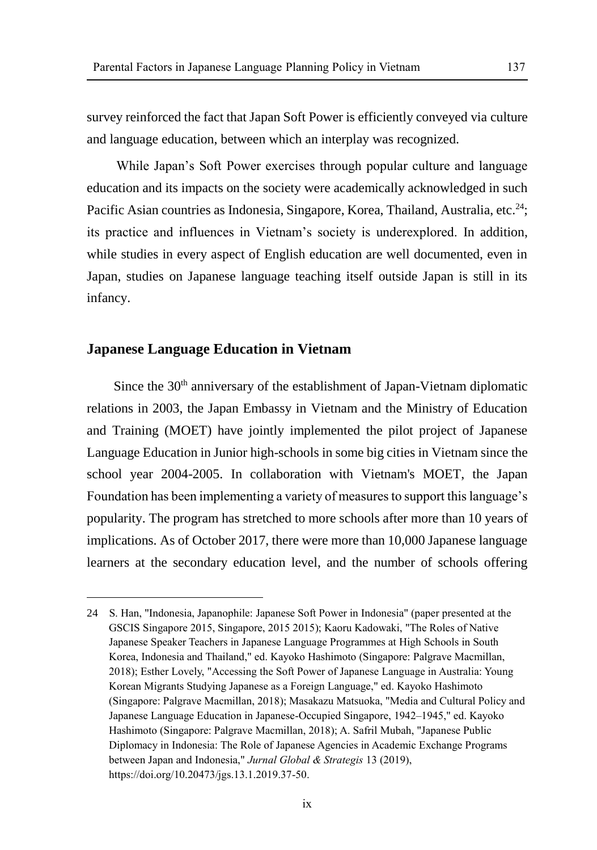survey reinforced the fact that Japan Soft Power is efficiently conveyed via culture and language education, between which an interplay was recognized.

While Japan's Soft Power exercises through popular culture and language education and its impacts on the society were academically acknowledged in such Pacific Asian countries as Indonesia, Singapore, Korea, Thailand, Australia, etc.<sup>24</sup>; its practice and influences in Vietnam's society is underexplored. In addition, while studies in every aspect of English education are well documented, even in Japan, studies on Japanese language teaching itself outside Japan is still in its infancy.

#### **Japanese Language Education in Vietnam**

 $\overline{a}$ 

Since the 30<sup>th</sup> anniversary of the establishment of Japan-Vietnam diplomatic relations in 2003, the Japan Embassy in Vietnam and the Ministry of Education and Training (MOET) have jointly implemented the pilot project of Japanese Language Education in Junior high-schools in some big cities in Vietnam since the school year 2004-2005. In collaboration with Vietnam's MOET, the Japan Foundation has been implementing a variety of measures to support this language's popularity. The program has stretched to more schools after more than 10 years of implications. As of October 2017, there were more than 10,000 Japanese language learners at the secondary education level, and the number of schools offering

<sup>24</sup> S. Han, "Indonesia, Japanophile: Japanese Soft Power in Indonesia" (paper presented at the GSCIS Singapore 2015, Singapore, 2015 2015); Kaoru Kadowaki, "The Roles of Native Japanese Speaker Teachers in Japanese Language Programmes at High Schools in South Korea, Indonesia and Thailand," ed. Kayoko Hashimoto (Singapore: Palgrave Macmillan, 2018); Esther Lovely, "Accessing the Soft Power of Japanese Language in Australia: Young Korean Migrants Studying Japanese as a Foreign Language," ed. Kayoko Hashimoto (Singapore: Palgrave Macmillan, 2018); Masakazu Matsuoka, "Media and Cultural Policy and Japanese Language Education in Japanese-Occupied Singapore, 1942–1945," ed. Kayoko Hashimoto (Singapore: Palgrave Macmillan, 2018); A. Safril Mubah, "Japanese Public Diplomacy in Indonesia: The Role of Japanese Agencies in Academic Exchange Programs between Japan and Indonesia," *Jurnal Global & Strategis* 13 (2019), https://doi.org/10.20473/jgs.13.1.2019.37-50.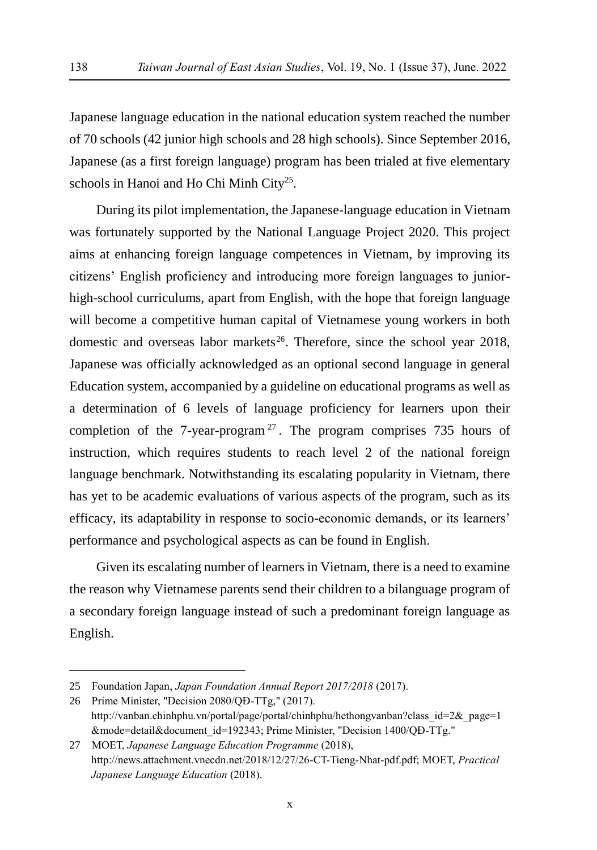Japanese language education in the national education system reached the number of 70 schools (42 junior high schools and 28 high schools). Since September 2016, Japanese (as a first foreign language) program has been trialed at five elementary schools in Hanoi and Ho Chi Minh City<sup>25</sup>.

During its pilot implementation, the Japanese-language education in Vietnam was fortunately supported by the National Language Project 2020. This project aims at enhancing foreign language competences in Vietnam, by improving its citizens' English proficiency and introducing more foreign languages to juniorhigh-school curriculums, apart from English, with the hope that foreign language will become a competitive human capital of Vietnamese young workers in both domestic and overseas labor markets<sup>26</sup>. Therefore, since the school year 2018, Japanese was officially acknowledged as an optional second language in general Education system, accompanied by a guideline on educational programs as well as a determination of 6 levels of language proficiency for learners upon their completion of the 7-year-program  $2^7$ . The program comprises 735 hours of instruction, which requires students to reach level 2 of the national foreign language benchmark. Notwithstanding its escalating popularity in Vietnam, there has yet to be academic evaluations of various aspects of the program, such as its efficacy, its adaptability in response to socio-economic demands, or its learners' performance and psychological aspects as can be found in English.

Given its escalating number of learners in Vietnam, there is a need to examine the reason why Vietnamese parents send their children to a bilanguage program of a secondary foreign language instead of such a predominant foreign language as English.

<sup>25</sup> Foundation Japan, *Japan Foundation Annual Report 2017/2018* (2017).

<sup>26</sup> Prime Minister, "Decision 2080/QĐ-TTg," (2017). http://vanban.chinhphu.vn/portal/page/portal/chinhphu/hethongvanban?class\_id=2&\_page=1 &mode=detail&document\_id=192343; Prime Minister, "Decision 1400/QĐ-TTg."

<sup>27</sup> MOET, *Japanese Language Education Programme* (2018), http://news.attachment.vnecdn.net/2018/12/27/26-CT-Tieng-Nhat-pdf.pdf; MOET, *Practical Japanese Language Education* (2018).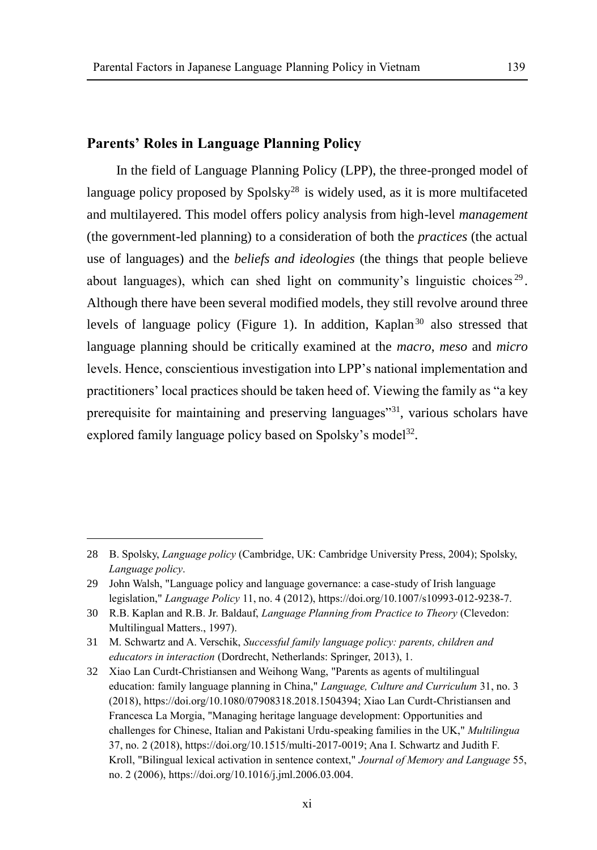# **Parents' Roles in Language Planning Policy**

 $\overline{a}$ 

In the field of Language Planning Policy (LPP), the three-pronged model of language policy proposed by Spolsky<sup>28</sup> is widely used, as it is more multifaceted and multilayered. This model offers policy analysis from high-level *management* (the government-led planning) to a consideration of both the *practices* (the actual use of languages) and the *beliefs and ideologies* (the things that people believe about languages), which can shed light on community's linguistic choices<sup>29</sup>. Although there have been several modified models, they still revolve around three levels of language policy (Figure 1). In addition, Kaplan<sup>30</sup> also stressed that language planning should be critically examined at the *macro*, *meso* and *micro*  levels. Hence, conscientious investigation into LPP's national implementation and practitioners' local practices should be taken heed of. Viewing the family as "a key prerequisite for maintaining and preserving languages"<sup>31</sup>, various scholars have explored family language policy based on Spolsky's model<sup>32</sup>.

xi

<sup>28</sup> B. Spolsky, *Language policy* (Cambridge, UK: Cambridge University Press, 2004); Spolsky, *Language policy*.

<sup>29</sup> John Walsh, "Language policy and language governance: a case-study of Irish language legislation," *Language Policy* 11, no. 4 (2012), https://doi.org/10.1007/s10993-012-9238-7.

<sup>30</sup> R.B. Kaplan and R.B. Jr. Baldauf, *Language Planning from Practice to Theory* (Clevedon: Multilingual Matters., 1997).

<sup>31</sup> M. Schwartz and A. Verschik, *Successful family language policy: parents, children and educators in interaction* (Dordrecht, Netherlands: Springer, 2013), 1.

<sup>32</sup> Xiao Lan Curdt-Christiansen and Weihong Wang, "Parents as agents of multilingual education: family language planning in China," *Language, Culture and Curriculum* 31, no. 3 (2018), https://doi.org/10.1080/07908318.2018.1504394; Xiao Lan Curdt-Christiansen and Francesca La Morgia, "Managing heritage language development: Opportunities and challenges for Chinese, Italian and Pakistani Urdu-speaking families in the UK," *Multilingua* 37, no. 2 (2018), https://doi.org/10.1515/multi-2017-0019; Ana I. Schwartz and Judith F. Kroll, "Bilingual lexical activation in sentence context," *Journal of Memory and Language* 55, no. 2 (2006), https://doi.org/10.1016/j.jml.2006.03.004.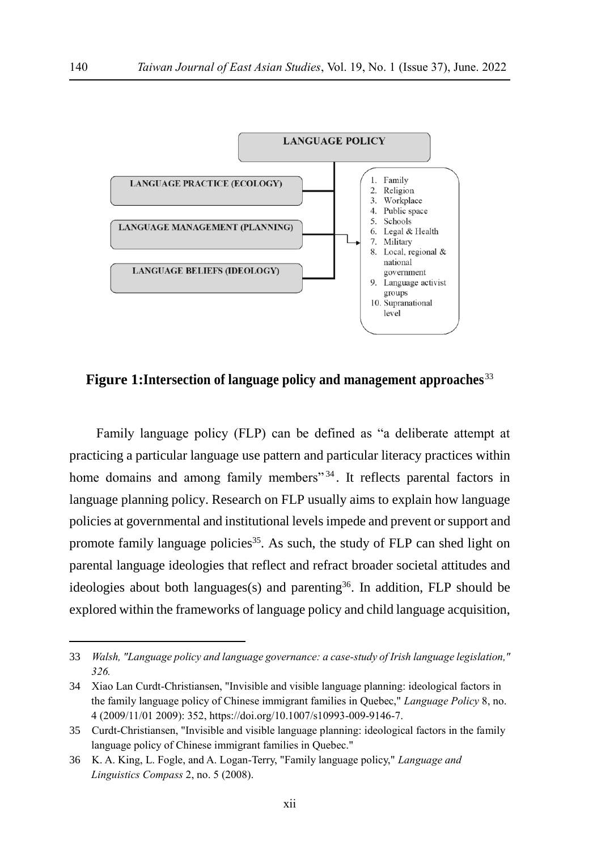

**Figure 1:Intersection of language policy and management approaches**<sup>33</sup>

Family language policy (FLP) can be defined as "a deliberate attempt at practicing a particular language use pattern and particular literacy practices within home domains and among family members<sup>"34</sup>. It reflects parental factors in language planning policy. Research on FLP usually aims to explain how language policies at governmental and institutional levels impede and prevent or support and promote family language policies<sup>35</sup>. As such, the study of FLP can shed light on parental language ideologies that reflect and refract broader societal attitudes and ideologies about both languages(s) and parenting<sup>36</sup>. In addition, FLP should be explored within the frameworks of language policy and child language acquisition,

<sup>33</sup> *Walsh, "Language policy and language governance: a case-study of Irish language legislation," 326.*

<sup>34</sup> Xiao Lan Curdt-Christiansen, "Invisible and visible language planning: ideological factors in the family language policy of Chinese immigrant families in Quebec," *Language Policy* 8, no. 4 (2009/11/01 2009): 352, https://doi.org/10.1007/s10993-009-9146-7.

<sup>35</sup> Curdt-Christiansen, "Invisible and visible language planning: ideological factors in the family language policy of Chinese immigrant families in Quebec."

<sup>36</sup> K. A. King, L. Fogle, and A. Logan-Terry, "Family language policy," *Language and Linguistics Compass* 2, no. 5 (2008).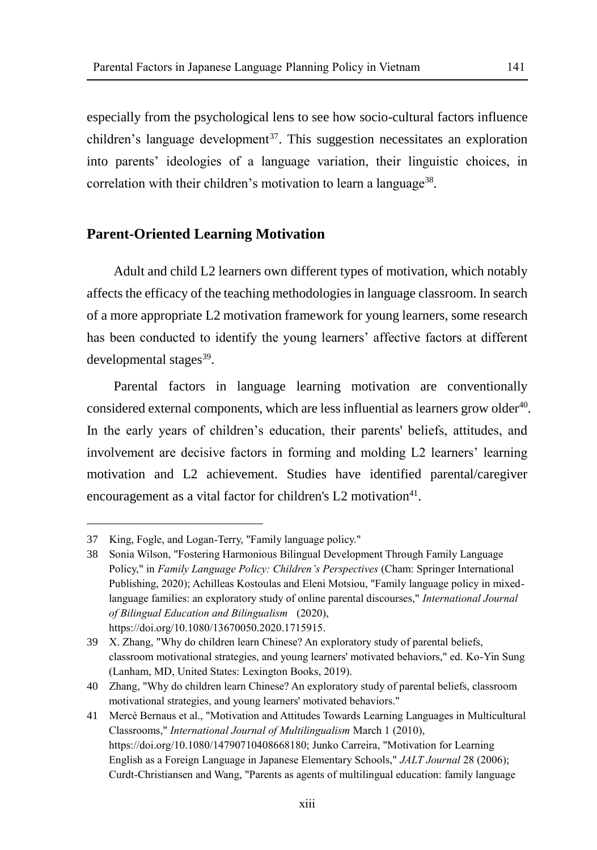especially from the psychological lens to see how socio-cultural factors influence children's language development<sup>37</sup>. This suggestion necessitates an exploration

into parents' ideologies of a language variation, their linguistic choices, in correlation with their children's motivation to learn a language<sup>38</sup>.

# **Parent-Oriented Learning Motivation**

Adult and child L2 learners own different types of motivation, which notably affects the efficacy of the teaching methodologies in language classroom. In search of a more appropriate L2 motivation framework for young learners, some research has been conducted to identify the young learners' affective factors at different developmental stages<sup>39</sup>.

Parental factors in language learning motivation are conventionally considered external components, which are less influential as learners grow older $40$ . In the early years of children's education, their parents' beliefs, attitudes, and involvement are decisive factors in forming and molding L2 learners' learning motivation and L2 achievement. Studies have identified parental/caregiver encouragement as a vital factor for children's  $L2$  motivation<sup>41</sup>.

<sup>37</sup> King, Fogle, and Logan-Terry, "Family language policy."

<sup>38</sup> Sonia Wilson, "Fostering Harmonious Bilingual Development Through Family Language Policy," in *Family Language Policy: Children's Perspectives* (Cham: Springer International Publishing, 2020); Achilleas Kostoulas and Eleni Motsiou, "Family language policy in mixedlanguage families: an exploratory study of online parental discourses," *International Journal of Bilingual Education and Bilingualism* (2020), https://doi.org/10.1080/13670050.2020.1715915.

<sup>39</sup> X. Zhang, "Why do children learn Chinese? An exploratory study of parental beliefs, classroom motivational strategies, and young learners' motivated behaviors," ed. Ko-Yin Sung (Lanham, MD, United States: Lexington Books, 2019).

<sup>40</sup> Zhang, "Why do children learn Chinese? An exploratory study of parental beliefs, classroom motivational strategies, and young learners' motivated behaviors."

<sup>41</sup> Mercè Bernaus et al., "Motivation and Attitudes Towards Learning Languages in Multicultural Classrooms," *International Journal of Multilingualism* March 1 (2010), https://doi.org/10.1080/14790710408668180; Junko Carreira, "Motivation for Learning English as a Foreign Language in Japanese Elementary Schools," *JALT Journal* 28 (2006); Curdt-Christiansen and Wang, "Parents as agents of multilingual education: family language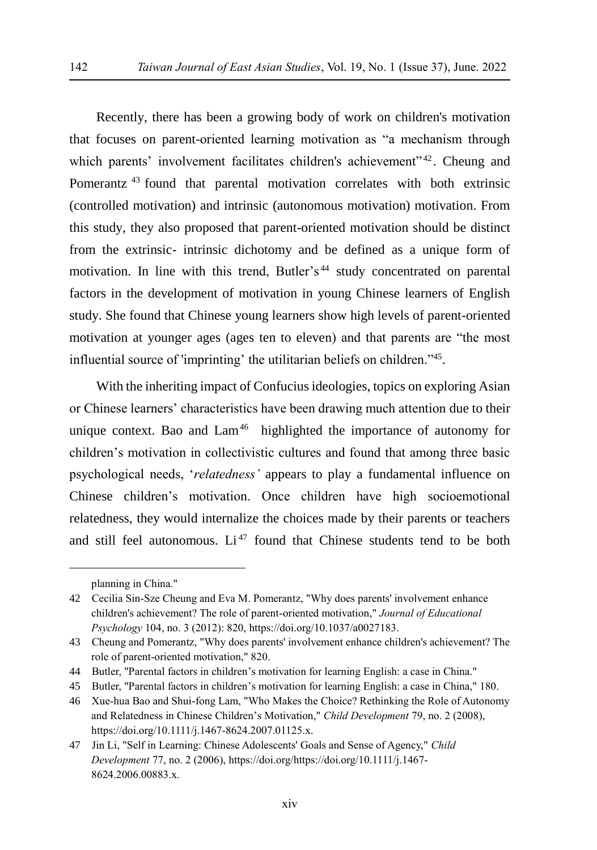Recently, there has been a growing body of work on children's motivation that focuses on parent-oriented learning motivation as "a mechanism through which parents' involvement facilitates children's achievement"<sup>42</sup>. Cheung and Pomerantz<sup>43</sup> found that parental motivation correlates with both extrinsic (controlled motivation) and intrinsic (autonomous motivation) motivation. From this study, they also proposed that parent-oriented motivation should be distinct from the extrinsic- intrinsic dichotomy and be defined as a unique form of motivation. In line with this trend, Butler's<sup>44</sup> study concentrated on parental factors in the development of motivation in young Chinese learners of English study. She found that Chinese young learners show high levels of parent-oriented motivation at younger ages (ages ten to eleven) and that parents are "the most influential source of 'imprinting' the utilitarian beliefs on children."<sup>45</sup>.

With the inheriting impact of Confucius ideologies, topics on exploring Asian or Chinese learners' characteristics have been drawing much attention due to their unique context. Bao and  $Lam<sup>46</sup>$  highlighted the importance of autonomy for children's motivation in collectivistic cultures and found that among three basic psychological needs, '*relatedness'* appears to play a fundamental influence on Chinese children's motivation. Once children have high socioemotional relatedness, they would internalize the choices made by their parents or teachers and still feel autonomous. Li<sup>47</sup> found that Chinese students tend to be both

planning in China."

<sup>42</sup> Cecilia Sin-Sze Cheung and Eva M. Pomerantz, "Why does parents' involvement enhance children's achievement? The role of parent-oriented motivation," *Journal of Educational Psychology* 104, no. 3 (2012): 820, https://doi.org/10.1037/a0027183.

<sup>43</sup> Cheung and Pomerantz, "Why does parents' involvement enhance children's achievement? The role of parent-oriented motivation," 820.

<sup>44</sup> Butler, "Parental factors in children's motivation for learning English: a case in China."

<sup>45</sup> Butler, "Parental factors in children's motivation for learning English: a case in China," 180.

<sup>46</sup> Xue-hua Bao and Shui-fong Lam, "Who Makes the Choice? Rethinking the Role of Autonomy and Relatedness in Chinese Children's Motivation," *Child Development* 79, no. 2 (2008), https://doi.org/10.1111/j.1467-8624.2007.01125.x.

<sup>47</sup> Jin Li, "Self in Learning: Chinese Adolescents' Goals and Sense of Agency," *Child Development* 77, no. 2 (2006), https://doi.org/https://doi.org/10.1111/j.1467- 8624.2006.00883.x.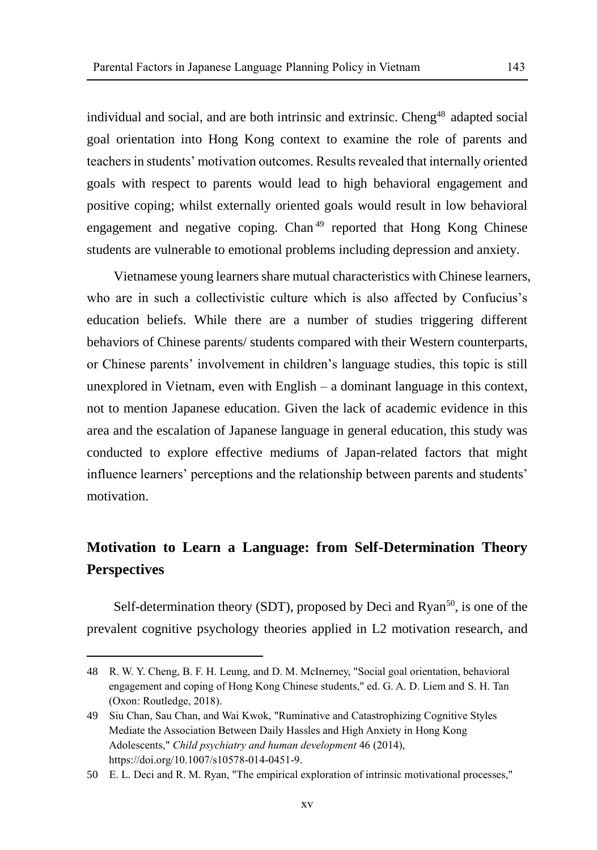individual and social, and are both intrinsic and extrinsic. Cheng<sup>48</sup> adapted social goal orientation into Hong Kong context to examine the role of parents and teachers in students' motivation outcomes. Results revealed that internally oriented goals with respect to parents would lead to high behavioral engagement and positive coping; whilst externally oriented goals would result in low behavioral engagement and negative coping. Chan<sup>49</sup> reported that Hong Kong Chinese students are vulnerable to emotional problems including depression and anxiety.

Vietnamese young learners share mutual characteristics with Chinese learners, who are in such a collectivistic culture which is also affected by Confucius's education beliefs. While there are a number of studies triggering different behaviors of Chinese parents/ students compared with their Western counterparts, or Chinese parents' involvement in children's language studies, this topic is still unexplored in Vietnam, even with English – a dominant language in this context, not to mention Japanese education. Given the lack of academic evidence in this area and the escalation of Japanese language in general education, this study was conducted to explore effective mediums of Japan-related factors that might influence learners' perceptions and the relationship between parents and students' motivation.

# **Motivation to Learn a Language: from Self-Determination Theory Perspectives**

Self-determination theory (SDT), proposed by Deci and  $Ryan^{50}$ , is one of the prevalent cognitive psychology theories applied in L2 motivation research, and

<sup>48</sup> R. W. Y. Cheng, B. F. H. Leung, and D. M. McInerney, "Social goal orientation, behavioral engagement and coping of Hong Kong Chinese students," ed. G. A. D. Liem and S. H. Tan (Oxon: Routledge, 2018).

<sup>49</sup> Siu Chan, Sau Chan, and Wai Kwok, "Ruminative and Catastrophizing Cognitive Styles Mediate the Association Between Daily Hassles and High Anxiety in Hong Kong Adolescents," *Child psychiatry and human development* 46 (2014), https://doi.org/10.1007/s10578-014-0451-9.

<sup>50</sup> E. L. Deci and R. M. Ryan, "The empirical exploration of intrinsic motivational processes,"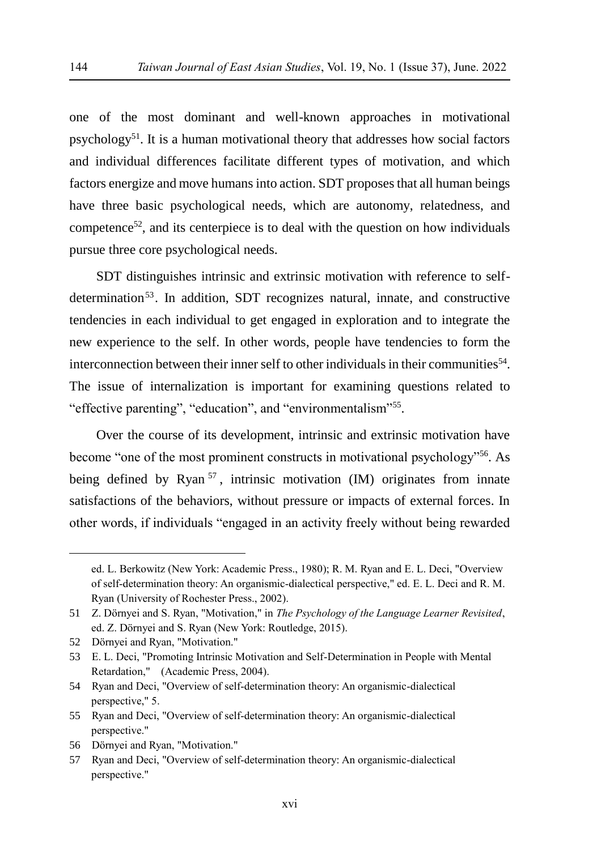one of the most dominant and well-known approaches in motivational psychology<sup>51</sup>. It is a human motivational theory that addresses how social factors and individual differences facilitate different types of motivation, and which factors energize and move humans into action. SDT proposes that all human beings have three basic psychological needs, which are autonomy, relatedness, and competence<sup>52</sup>, and its centerpiece is to deal with the question on how individuals pursue three core psychological needs.

SDT distinguishes intrinsic and extrinsic motivation with reference to selfdetermination<sup>53</sup>. In addition, SDT recognizes natural, innate, and constructive tendencies in each individual to get engaged in exploration and to integrate the new experience to the self. In other words, people have tendencies to form the interconnection between their inner self to other individuals in their communities<sup>54</sup>. The issue of internalization is important for examining questions related to "effective parenting", "education", and "environmentalism"<sup>55</sup>.

Over the course of its development, intrinsic and extrinsic motivation have become "one of the most prominent constructs in motivational psychology"<sup>56</sup>. As being defined by Ryan<sup>57</sup>, intrinsic motivation (IM) originates from innate satisfactions of the behaviors, without pressure or impacts of external forces. In other words, if individuals "engaged in an activity freely without being rewarded

ed. L. Berkowitz (New York: Academic Press., 1980); R. M. Ryan and E. L. Deci, "Overview of self-determination theory: An organismic-dialectical perspective," ed. E. L. Deci and R. M. Ryan (University of Rochester Press., 2002).

<sup>51</sup> Z. Dörnyei and S. Ryan, "Motivation," in *The Psychology of the Language Learner Revisited*, ed. Z. Dörnyei and S. Ryan (New York: Routledge, 2015).

<sup>52</sup> Dörnyei and Ryan, "Motivation."

<sup>53</sup> E. L. Deci, "Promoting Intrinsic Motivation and Self-Determination in People with Mental Retardation," (Academic Press, 2004).

<sup>54</sup> Ryan and Deci, "Overview of self-determination theory: An organismic-dialectical perspective," 5.

<sup>55</sup> Ryan and Deci, "Overview of self-determination theory: An organismic-dialectical perspective."

<sup>56</sup> Dörnyei and Ryan, "Motivation."

<sup>57</sup> Ryan and Deci, "Overview of self-determination theory: An organismic-dialectical perspective."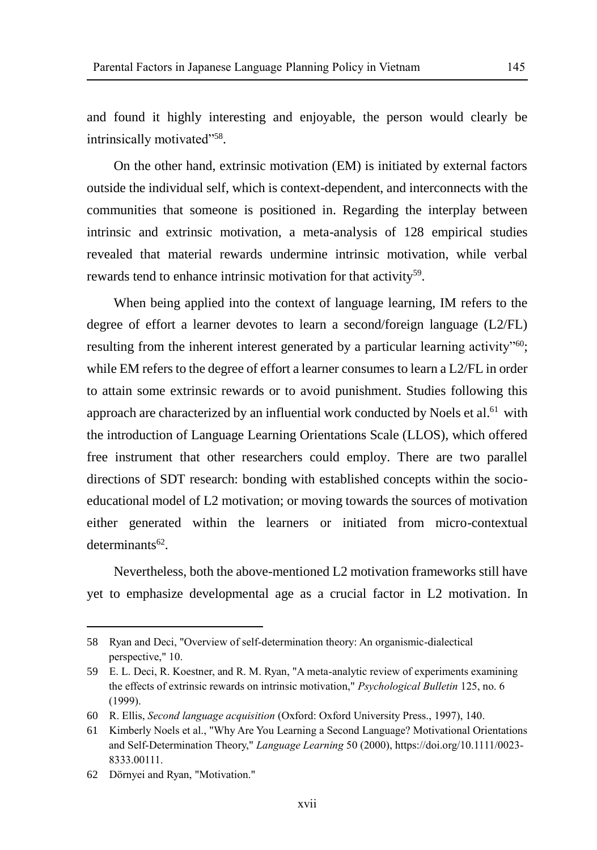and found it highly interesting and enjoyable, the person would clearly be intrinsically motivated"<sup>58</sup>.

On the other hand, extrinsic motivation (EM) is initiated by external factors outside the individual self, which is context-dependent, and interconnects with the communities that someone is positioned in. Regarding the interplay between intrinsic and extrinsic motivation, a meta-analysis of 128 empirical studies revealed that material rewards undermine intrinsic motivation, while verbal rewards tend to enhance intrinsic motivation for that activity<sup>59</sup>.

When being applied into the context of language learning, IM refers to the degree of effort a learner devotes to learn a second/foreign language (L2/FL) resulting from the inherent interest generated by a particular learning activity"<sup>60</sup>; while EM refers to the degree of effort a learner consumes to learn a L2/FL in order to attain some extrinsic rewards or to avoid punishment. Studies following this approach are characterized by an influential work conducted by Noels et al.<sup>61</sup> with the introduction of Language Learning Orientations Scale (LLOS), which offered free instrument that other researchers could employ. There are two parallel directions of SDT research: bonding with established concepts within the socioeducational model of L2 motivation; or moving towards the sources of motivation either generated within the learners or initiated from micro-contextual determinants<sup>62</sup>.

Nevertheless, both the above-mentioned L2 motivation frameworks still have yet to emphasize developmental age as a crucial factor in L2 motivation. In

<sup>58</sup> Ryan and Deci, "Overview of self-determination theory: An organismic-dialectical perspective," 10.

<sup>59</sup> E. L. Deci, R. Koestner, and R. M. Ryan, "A meta-analytic review of experiments examining the effects of extrinsic rewards on intrinsic motivation," *Psychological Bulletin* 125, no. 6 (1999).

<sup>60</sup> R. Ellis, *Second language acquisition* (Oxford: Oxford University Press., 1997), 140.

<sup>61</sup> Kimberly Noels et al., "Why Are You Learning a Second Language? Motivational Orientations and Self-Determination Theory," *Language Learning* 50 (2000), https://doi.org/10.1111/0023- 8333.00111.

<sup>62</sup> Dörnyei and Ryan, "Motivation."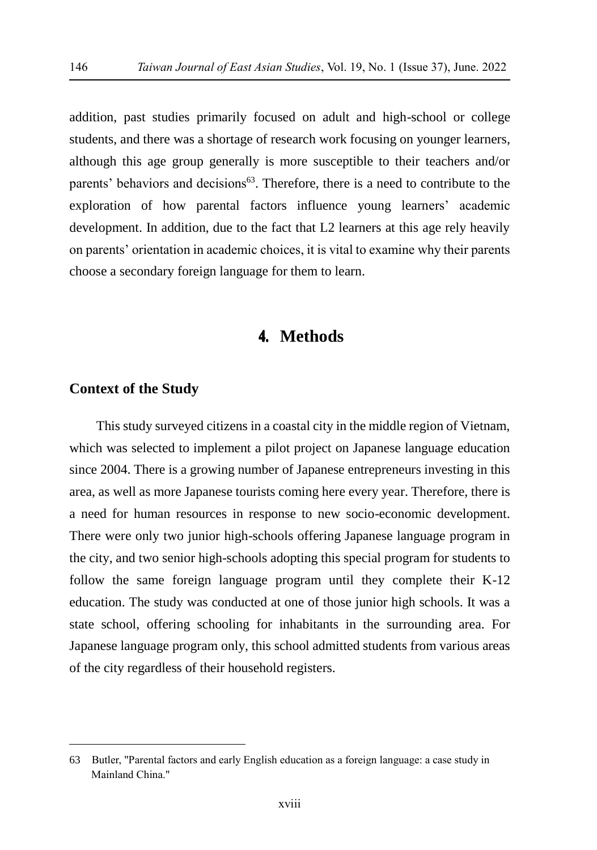addition, past studies primarily focused on adult and high-school or college students, and there was a shortage of research work focusing on younger learners, although this age group generally is more susceptible to their teachers and/or parents' behaviors and decisions<sup>63</sup>. Therefore, there is a need to contribute to the exploration of how parental factors influence young learners' academic development. In addition, due to the fact that L2 learners at this age rely heavily on parents' orientation in academic choices, it is vital to examine why their parents choose a secondary foreign language for them to learn.

# 4. **Methods**

# **Context of the Study**

 $\overline{a}$ 

This study surveyed citizens in a coastal city in the middle region of Vietnam, which was selected to implement a pilot project on Japanese language education since 2004. There is a growing number of Japanese entrepreneurs investing in this area, as well as more Japanese tourists coming here every year. Therefore, there is a need for human resources in response to new socio-economic development. There were only two junior high-schools offering Japanese language program in the city, and two senior high-schools adopting this special program for students to follow the same foreign language program until they complete their K-12 education. The study was conducted at one of those junior high schools. It was a state school, offering schooling for inhabitants in the surrounding area. For Japanese language program only, this school admitted students from various areas of the city regardless of their household registers.

<sup>63</sup> Butler, "Parental factors and early English education as a foreign language: a case study in Mainland China."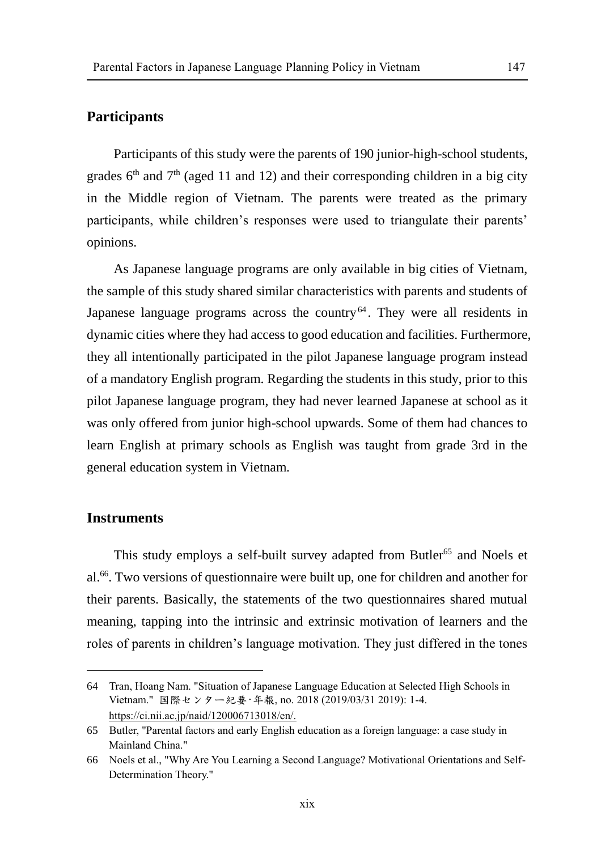#### **Participants**

Participants of this study were the parents of 190 junior-high-school students, grades  $6<sup>th</sup>$  and  $7<sup>th</sup>$  (aged 11 and 12) and their corresponding children in a big city in the Middle region of Vietnam. The parents were treated as the primary participants, while children's responses were used to triangulate their parents' opinions.

As Japanese language programs are only available in big cities of Vietnam, the sample of this study shared similar characteristics with parents and students of Japanese language programs across the country<sup>64</sup>. They were all residents in dynamic cities where they had access to good education and facilities. Furthermore, they all intentionally participated in the pilot Japanese language program instead of a mandatory English program. Regarding the students in this study, prior to this pilot Japanese language program, they had never learned Japanese at school as it was only offered from junior high-school upwards. Some of them had chances to learn English at primary schools as English was taught from grade 3rd in the general education system in Vietnam.

#### **Instruments**

 $\overline{a}$ 

This study employs a self-built survey adapted from Butler<sup>65</sup> and Noels et al.<sup>66</sup>. Two versions of questionnaire were built up, one for children and another for their parents. Basically, the statements of the two questionnaires shared mutual meaning, tapping into the intrinsic and extrinsic motivation of learners and the roles of parents in children's language motivation. They just differed in the tones

<sup>64</sup> Tran, Hoang Nam. "Situation of Japanese Language Education at Selected High Schools in Vietnam." 国際センター紀要·年報, no. 2018 (2019/03/31 2019): 1-4. [https://ci.nii.ac.jp/naid/120006713018/en/.](https://ci.nii.ac.jp/naid/120006713018/en/)

<sup>65</sup> Butler, "Parental factors and early English education as a foreign language: a case study in Mainland China."

<sup>66</sup> Noels et al., "Why Are You Learning a Second Language? Motivational Orientations and Self-Determination Theory."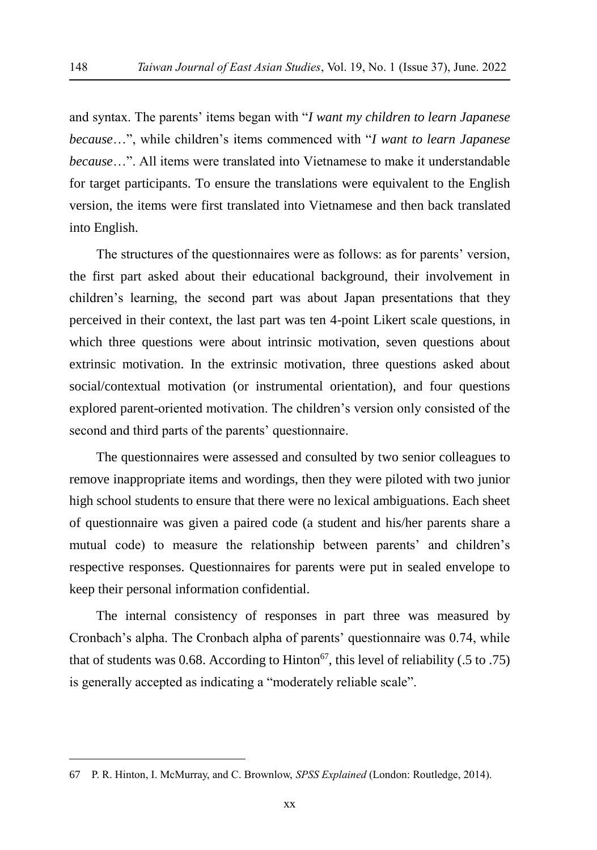and syntax. The parents' items began with "*I want my children to learn Japanese because*…", while children's items commenced with "*I want to learn Japanese because*…". All items were translated into Vietnamese to make it understandable for target participants. To ensure the translations were equivalent to the English version, the items were first translated into Vietnamese and then back translated into English.

The structures of the questionnaires were as follows: as for parents' version, the first part asked about their educational background, their involvement in children's learning, the second part was about Japan presentations that they perceived in their context, the last part was ten 4-point Likert scale questions, in which three questions were about intrinsic motivation, seven questions about extrinsic motivation. In the extrinsic motivation, three questions asked about social/contextual motivation (or instrumental orientation), and four questions explored parent-oriented motivation. The children's version only consisted of the second and third parts of the parents' questionnaire.

The questionnaires were assessed and consulted by two senior colleagues to remove inappropriate items and wordings, then they were piloted with two junior high school students to ensure that there were no lexical ambiguations. Each sheet of questionnaire was given a paired code (a student and his/her parents share a mutual code) to measure the relationship between parents' and children's respective responses. Questionnaires for parents were put in sealed envelope to keep their personal information confidential.

The internal consistency of responses in part three was measured by Cronbach's alpha. The Cronbach alpha of parents' questionnaire was 0.74, while that of students was 0.68. According to Hinton<sup>67</sup>, this level of reliability (.5 to .75) is generally accepted as indicating a "moderately reliable scale".

<sup>67</sup> P. R. Hinton, I. McMurray, and C. Brownlow, *SPSS Explained* (London: Routledge, 2014).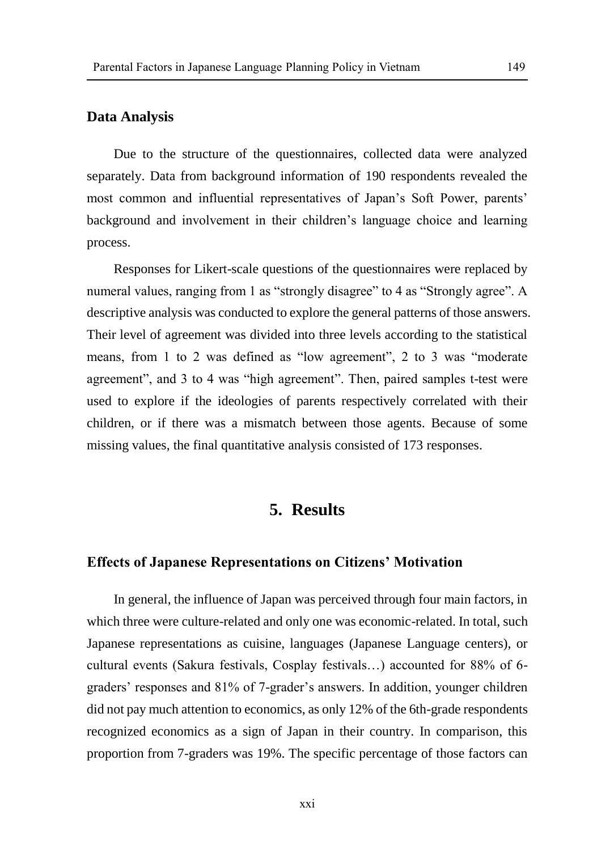#### **Data Analysis**

Due to the structure of the questionnaires, collected data were analyzed separately. Data from background information of 190 respondents revealed the most common and influential representatives of Japan's Soft Power, parents' background and involvement in their children's language choice and learning process.

Responses for Likert-scale questions of the questionnaires were replaced by numeral values, ranging from 1 as "strongly disagree" to 4 as "Strongly agree". A descriptive analysis was conducted to explore the general patterns of those answers. Their level of agreement was divided into three levels according to the statistical means, from 1 to 2 was defined as "low agreement", 2 to 3 was "moderate agreement", and 3 to 4 was "high agreement". Then, paired samples t-test were used to explore if the ideologies of parents respectively correlated with their children, or if there was a mismatch between those agents. Because of some missing values, the final quantitative analysis consisted of 173 responses.

# **5. Results**

#### **Effects of Japanese Representations on Citizens' Motivation**

In general, the influence of Japan was perceived through four main factors, in which three were culture-related and only one was economic-related. In total, such Japanese representations as cuisine, languages (Japanese Language centers), or cultural events (Sakura festivals, Cosplay festivals…) accounted for 88% of 6 graders' responses and 81% of 7-grader's answers. In addition, younger children did not pay much attention to economics, as only 12% of the 6th-grade respondents recognized economics as a sign of Japan in their country. In comparison, this proportion from 7-graders was 19%. The specific percentage of those factors can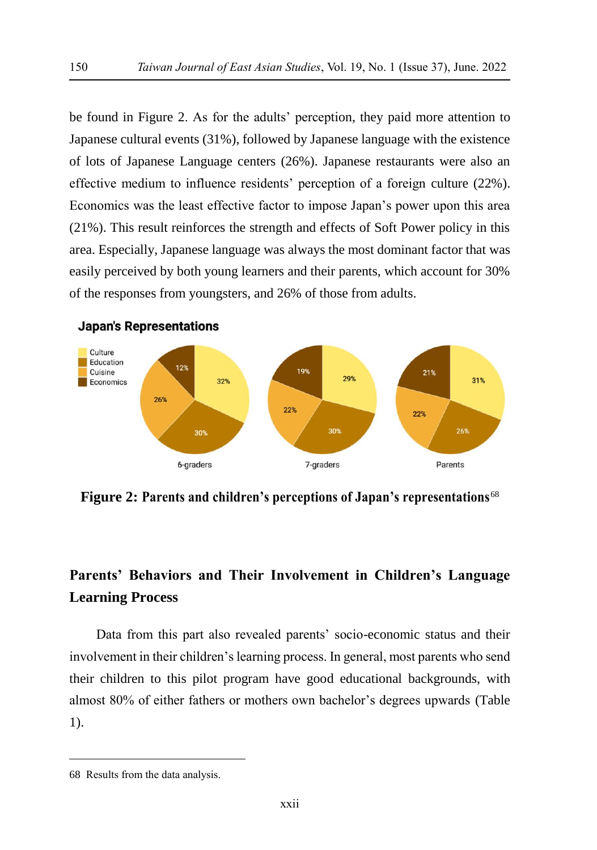be found in Figure 2. As for the adults' perception, they paid more attention to Japanese cultural events (31%), followed by Japanese language with the existence of lots of Japanese Language centers (26%). Japanese restaurants were also an effective medium to influence residents' perception of a foreign culture (22%). Economics was the least effective factor to impose Japan's power upon this area (21%). This result reinforces the strength and effects of Soft Power policy in this area. Especially, Japanese language was always the most dominant factor that was easily perceived by both young learners and their parents, which account for 30% of the responses from youngsters, and 26% of those from adults.



**Figure 2: Parents and children's perceptions of Japan's representations**<sup>68</sup>

# **Parents' Behaviors and Their Involvement in Children's Language Learning Process**

Data from this part also revealed parents' socio-economic status and their involvement in their children's learning process. In general, most parents who send their children to this pilot program have good educational backgrounds, with almost 80% of either fathers or mothers own bachelor's degrees upwards (Table 1).

<sup>68</sup> Results from the data analysis.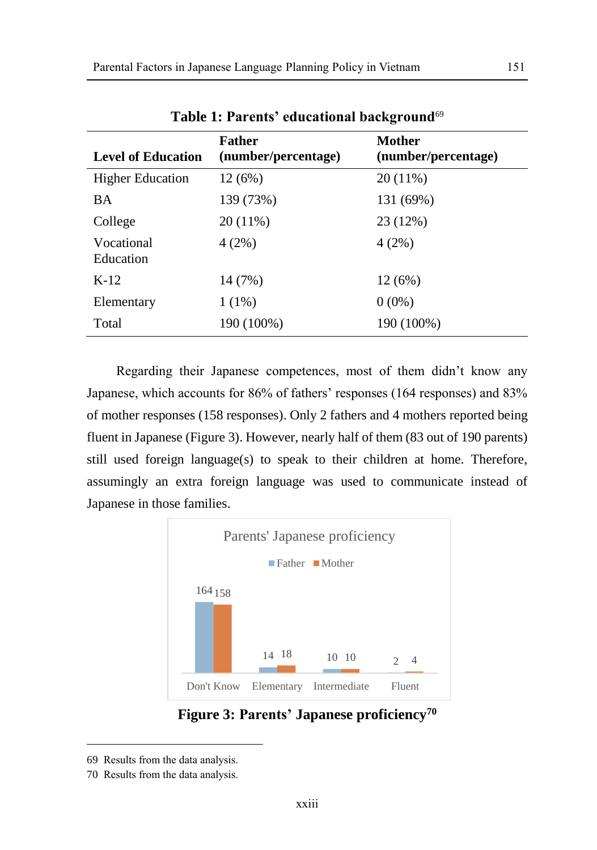|                           | -                                    |                               |  |  |
|---------------------------|--------------------------------------|-------------------------------|--|--|
| <b>Level of Education</b> | <b>Father</b><br>(number/percentage) | Mother<br>(number/percentage) |  |  |
| <b>Higher Education</b>   | 12 (6%)                              | $20(11\%)$                    |  |  |
| <b>BA</b>                 | 139 (73%)                            | 131 (69%)                     |  |  |
| College                   | 20 (11%)                             | 23 (12%)                      |  |  |
| Vocational<br>Education   | 4(2%)                                | 4(2%)                         |  |  |
| $K-12$                    | 14 (7%)                              | 12(6%)                        |  |  |
| Elementary                | $1(1\%)$                             | $0(0\%)$                      |  |  |
| Total                     | 190 (100%)                           | 190 (100%)                    |  |  |
|                           |                                      |                               |  |  |

**Table 1: Parents' educational background**<sup>69</sup>

Regarding their Japanese competences, most of them didn't know any Japanese, which accounts for 86% of fathers' responses (164 responses) and 83% of mother responses (158 responses). Only 2 fathers and 4 mothers reported being fluent in Japanese (Figure 3). However, nearly half of them (83 out of 190 parents) still used foreign language(s) to speak to their children at home. Therefore, assumingly an extra foreign language was used to communicate instead of Japanese in those families.



**Figure 3: Parents' Japanese proficiency<sup>70</sup>**

<sup>69</sup> Results from the data analysis.

<sup>70</sup> Results from the data analysis.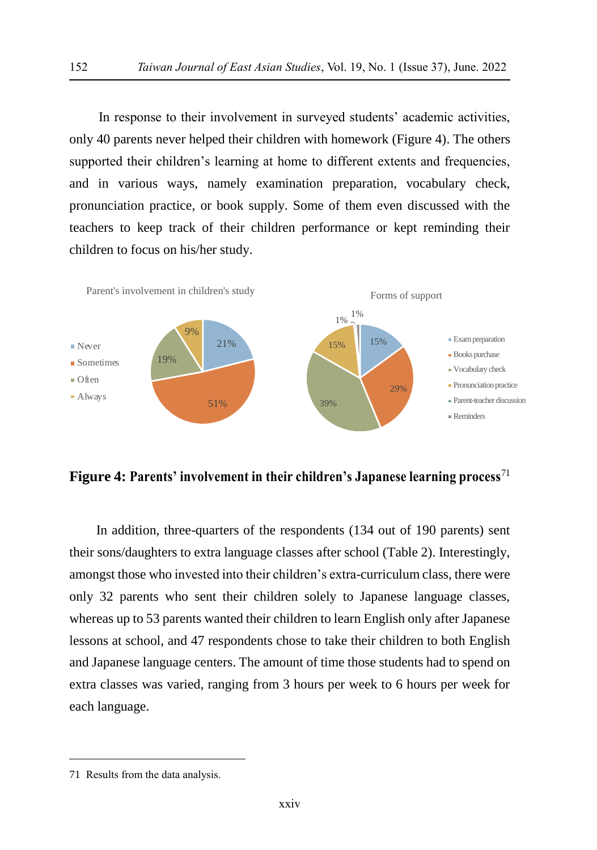In response to their involvement in surveyed students' academic activities, only 40 parents never helped their children with homework (Figure 4). The others supported their children's learning at home to different extents and frequencies, and in various ways, namely examination preparation, vocabulary check, pronunciation practice, or book supply. Some of them even discussed with the teachers to keep track of their children performance or kept reminding their children to focus on his/her study.



**Figure 4: Parents' involvement in their children's Japanese learning process**<sup>71</sup>

In addition, three-quarters of the respondents (134 out of 190 parents) sent their sons/daughters to extra language classes after school (Table 2). Interestingly, amongst those who invested into their children's extra-curriculum class, there were only 32 parents who sent their children solely to Japanese language classes, whereas up to 53 parents wanted their children to learn English only after Japanese lessons at school, and 47 respondents chose to take their children to both English and Japanese language centers. The amount of time those students had to spend on extra classes was varied, ranging from 3 hours per week to 6 hours per week for each language.

<sup>71</sup> Results from the data analysis.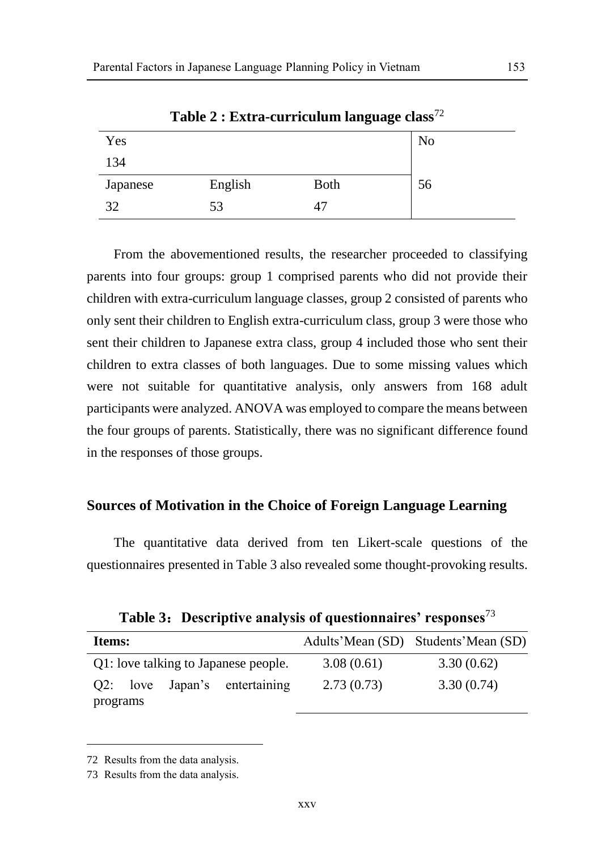| Yes      |         |             | N <sub>o</sub> |
|----------|---------|-------------|----------------|
| 134      |         |             |                |
| Japanese | English | <b>Both</b> | 56             |
| 32       | 53      | 47          |                |

**Table 2 : Extra-curriculum language class**<sup>72</sup>

From the abovementioned results, the researcher proceeded to classifying parents into four groups: group 1 comprised parents who did not provide their children with extra-curriculum language classes, group 2 consisted of parents who only sent their children to English extra-curriculum class, group 3 were those who sent their children to Japanese extra class, group 4 included those who sent their children to extra classes of both languages. Due to some missing values which were not suitable for quantitative analysis, only answers from 168 adult participants were analyzed. ANOVA was employed to compare the means between the four groups of parents. Statistically, there was no significant difference found in the responses of those groups.

#### **Sources of Motivation in the Choice of Foreign Language Learning**

The quantitative data derived from ten Likert-scale questions of the questionnaires presented in Table 3 also revealed some thought-provoking results.

**Table 3**:**Descriptive analysis of questionnaires' responses**<sup>73</sup>

| Items:                               |            | Adults'Mean (SD) Students'Mean (SD) |
|--------------------------------------|------------|-------------------------------------|
| Q1: love talking to Japanese people. | 3.08(0.61) | 3.30(0.62)                          |
| Q2: love Japan's entertaining        | 2.73(0.73) | 3.30(0.74)                          |
| programs                             |            |                                     |

<sup>72</sup> Results from the data analysis.

<sup>73</sup> Results from the data analysis.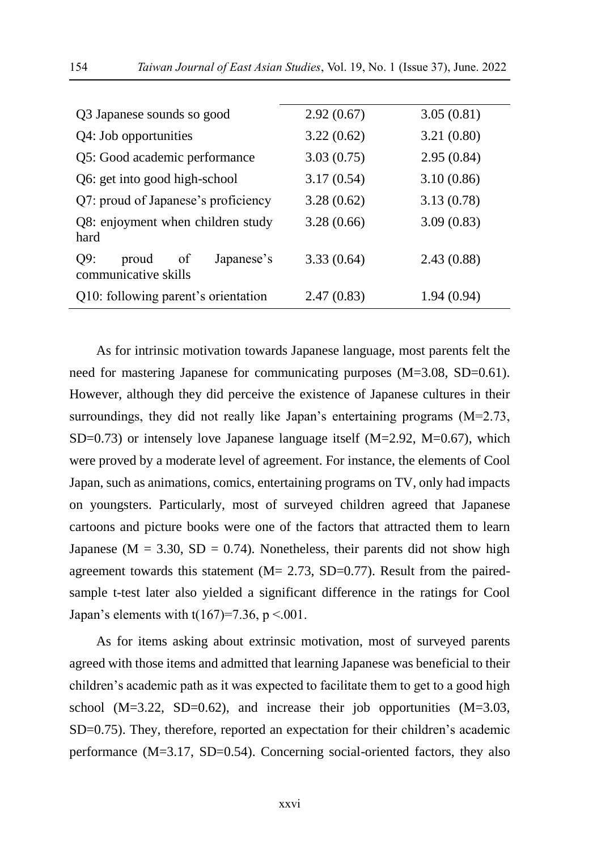| Q3 Japanese sounds so good                               | 2.92(0.67) | 3.05(0.81) |  |
|----------------------------------------------------------|------------|------------|--|
| Q4: Job opportunities                                    | 3.22(0.62) | 3.21(0.80) |  |
| Q5: Good academic performance                            | 3.03(0.75) | 2.95(0.84) |  |
| Q6: get into good high-school                            | 3.17(0.54) | 3.10(0.86) |  |
| Q7: proud of Japanese's proficiency                      | 3.28(0.62) | 3.13(0.78) |  |
| Q8: enjoyment when children study<br>hard                | 3.28(0.66) | 3.09(0.83) |  |
| Q9:<br>Japanese's<br>proud<br>of<br>communicative skills | 3.33(0.64) | 2.43(0.88) |  |
| Q10: following parent's orientation                      | 2.47(0.83) | 1.94(0.94) |  |

As for intrinsic motivation towards Japanese language, most parents felt the need for mastering Japanese for communicating purposes (M=3.08, SD=0.61). However, although they did perceive the existence of Japanese cultures in their surroundings, they did not really like Japan's entertaining programs (M=2.73, SD=0.73) or intensely love Japanese language itself  $(M=2.92, M=0.67)$ , which were proved by a moderate level of agreement. For instance, the elements of Cool Japan, such as animations, comics, entertaining programs on TV, only had impacts on youngsters. Particularly, most of surveyed children agreed that Japanese cartoons and picture books were one of the factors that attracted them to learn Japanese ( $M = 3.30$ ,  $SD = 0.74$ ). Nonetheless, their parents did not show high agreement towards this statement  $(M = 2.73, SD = 0.77)$ . Result from the pairedsample t-test later also yielded a significant difference in the ratings for Cool Japan's elements with  $t(167)=7.36$ ,  $p < .001$ .

As for items asking about extrinsic motivation, most of surveyed parents agreed with those items and admitted that learning Japanese was beneficial to their children's academic path as it was expected to facilitate them to get to a good high school  $(M=3.22, SD=0.62)$ , and increase their job opportunities  $(M=3.03,$ SD=0.75). They, therefore, reported an expectation for their children's academic performance (M=3.17, SD=0.54). Concerning social-oriented factors, they also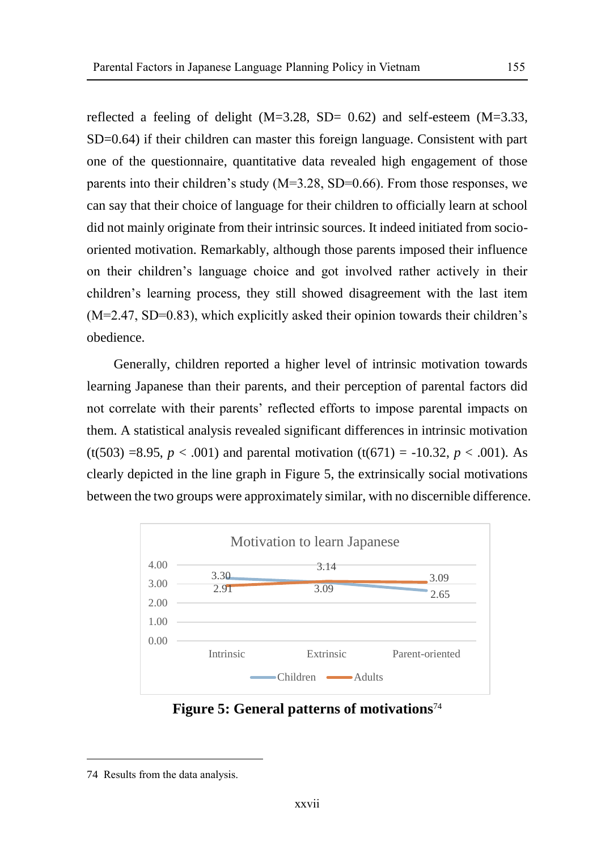reflected a feeling of delight  $(M=3.28, SD= 0.62)$  and self-esteem  $(M=3.33,$ SD=0.64) if their children can master this foreign language. Consistent with part one of the questionnaire, quantitative data revealed high engagement of those parents into their children's study (M=3.28, SD=0.66). From those responses, we can say that their choice of language for their children to officially learn at school did not mainly originate from their intrinsic sources. It indeed initiated from sociooriented motivation. Remarkably, although those parents imposed their influence on their children's language choice and got involved rather actively in their children's learning process, they still showed disagreement with the last item (M=2.47, SD=0.83), which explicitly asked their opinion towards their children's obedience.

Generally, children reported a higher level of intrinsic motivation towards learning Japanese than their parents, and their perception of parental factors did not correlate with their parents' reflected efforts to impose parental impacts on them. A statistical analysis revealed significant differences in intrinsic motivation (t(503) =8.95,  $p < .001$ ) and parental motivation (t(671) = -10.32,  $p < .001$ ). As clearly depicted in the line graph in Figure 5, the extrinsically social motivations between the two groups were approximately similar, with no discernible difference.



**Figure 5: General patterns of motivations**<sup>74</sup>

<sup>74</sup> Results from the data analysis.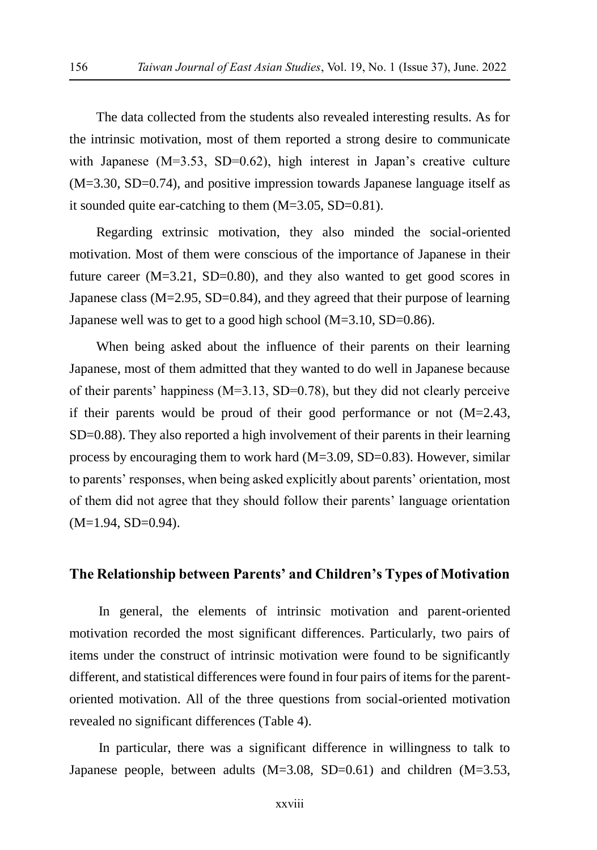The data collected from the students also revealed interesting results. As for the intrinsic motivation, most of them reported a strong desire to communicate with Japanese (M=3.53, SD=0.62), high interest in Japan's creative culture (M=3.30, SD=0.74), and positive impression towards Japanese language itself as it sounded quite ear-catching to them (M=3.05, SD=0.81).

Regarding extrinsic motivation, they also minded the social-oriented motivation. Most of them were conscious of the importance of Japanese in their future career  $(M=3.21, SD=0.80)$ , and they also wanted to get good scores in Japanese class (M=2.95, SD=0.84), and they agreed that their purpose of learning Japanese well was to get to a good high school (M=3.10, SD=0.86).

When being asked about the influence of their parents on their learning Japanese, most of them admitted that they wanted to do well in Japanese because of their parents' happiness  $(M=3.13, SD=0.78)$ , but they did not clearly perceive if their parents would be proud of their good performance or not  $(M=2.43,$ SD=0.88). They also reported a high involvement of their parents in their learning process by encouraging them to work hard (M=3.09, SD=0.83). However, similar to parents' responses, when being asked explicitly about parents' orientation, most of them did not agree that they should follow their parents' language orientation (M=1.94, SD=0.94).

### **The Relationship between Parents' and Children's Types of Motivation**

In general, the elements of intrinsic motivation and parent-oriented motivation recorded the most significant differences. Particularly, two pairs of items under the construct of intrinsic motivation were found to be significantly different, and statistical differences were found in four pairs of items for the parentoriented motivation. All of the three questions from social-oriented motivation revealed no significant differences (Table 4).

In particular, there was a significant difference in willingness to talk to Japanese people, between adults (M=3.08, SD=0.61) and children (M=3.53,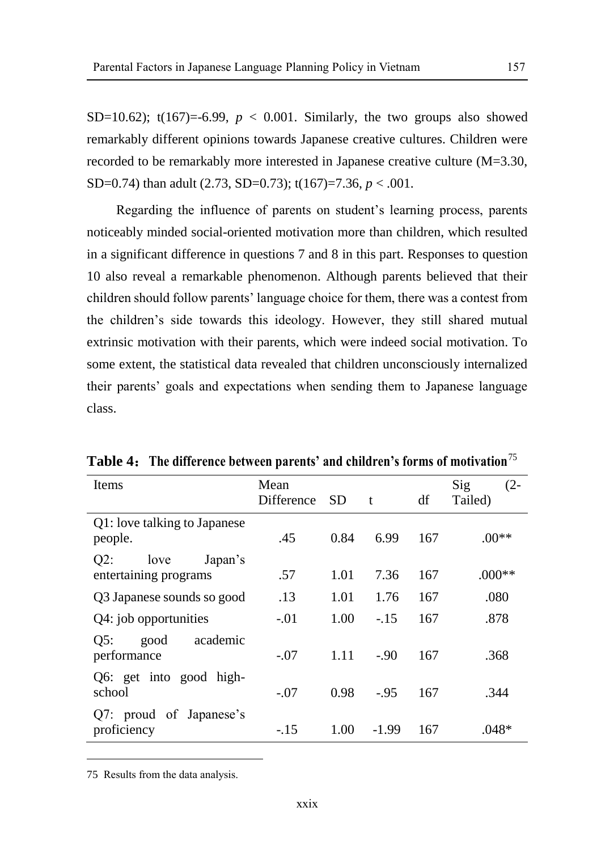SD=10.62); t(167)=-6.99,  $p < 0.001$ . Similarly, the two groups also showed remarkably different opinions towards Japanese creative cultures. Children were recorded to be remarkably more interested in Japanese creative culture (M=3.30, SD=0.74) than adult (2.73, SD=0.73); t(167)=7.36, *p* < .001.

Regarding the influence of parents on student's learning process, parents noticeably minded social-oriented motivation more than children, which resulted in a significant difference in questions 7 and 8 in this part. Responses to question 10 also reveal a remarkable phenomenon. Although parents believed that their children should follow parents' language choice for them, there was a contest from the children's side towards this ideology. However, they still shared mutual extrinsic motivation with their parents, which were indeed social motivation. To some extent, the statistical data revealed that children unconsciously internalized their parents' goals and expectations when sending them to Japanese language class.

| Items                                              | Mean<br>Difference | <b>SD</b> | t       | df  | Sig<br>$(2 -$<br>Tailed) |
|----------------------------------------------------|--------------------|-----------|---------|-----|--------------------------|
| Q1: love talking to Japanese<br>people.            | .45                | 0.84      | 6.99    | 167 | $.00**$                  |
| Japan's<br>$Q2$ :<br>love<br>entertaining programs | .57                | 1.01      | 7.36    | 167 | $.000**$                 |
| Q3 Japanese sounds so good                         | .13                | 1.01      | 1.76    | 167 | .080                     |
| Q4: job opportunities                              | $-.01$             | 1.00      | $-15$   | 167 | .878                     |
| academic<br>good<br>Q5:<br>performance             | $-.07$             | 1.11      | $-90$   | 167 | .368                     |
| Q6: get into good high-<br>school                  | $-.07$             | 0.98      | $-95$   | 167 | .344                     |
| Q7: proud of Japanese's<br>proficiency             | $-.15$             | 1.00      | $-1.99$ | 167 | .048*                    |

**Table 4**:**The difference between parents' and children's forms of motivation**<sup>75</sup>

<sup>75</sup> Results from the data analysis.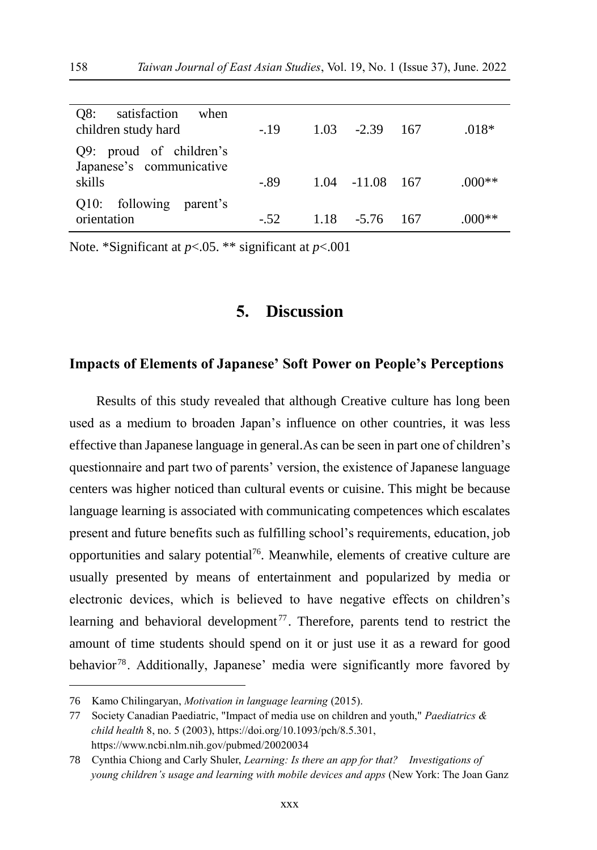| Q8:<br>satisfaction<br>when<br>children study hard  | $-19$ | $1.03 - 2.39$ 167   | $.018*$  |
|-----------------------------------------------------|-------|---------------------|----------|
| Q9: proud of children's<br>Japanese's communicative |       |                     |          |
| skills                                              | -.89  | $1.04$ $-11.08$ 167 | $.000**$ |
| Q10: following parent's                             |       |                     |          |
| orientation                                         | $-52$ | $1.18 - 5.76$ 167   | $.000**$ |

Note. \*Significant at *p*<.05. \*\* significant at *p*<.001

# **5. Discussion**

#### **Impacts of Elements of Japanese' Soft Power on People's Perceptions**

Results of this study revealed that although Creative culture has long been used as a medium to broaden Japan's influence on other countries, it was less effective than Japanese language in general.As can be seen in part one of children's questionnaire and part two of parents' version, the existence of Japanese language centers was higher noticed than cultural events or cuisine. This might be because language learning is associated with communicating competences which escalates present and future benefits such as fulfilling school's requirements, education, job opportunities and salary potential<sup>76</sup>. Meanwhile, elements of creative culture are usually presented by means of entertainment and popularized by media or electronic devices, which is believed to have negative effects on children's learning and behavioral development<sup>77</sup>. Therefore, parents tend to restrict the amount of time students should spend on it or just use it as a reward for good behavior<sup>78</sup>. Additionally, Japanese' media were significantly more favored by

<sup>76</sup> Kamo Chilingaryan, *Motivation in language learning* (2015).

<sup>77</sup> Society Canadian Paediatric, "Impact of media use on children and youth," *Paediatrics & child health* 8, no. 5 (2003), https://doi.org/10.1093/pch/8.5.301, https://www.ncbi.nlm.nih.gov/pubmed/20020034

<sup>78</sup> Cynthia Chiong and Carly Shuler, *Learning: Is there an app for that? Investigations of young children's usage and learning with mobile devices and apps* (New York: The Joan Ganz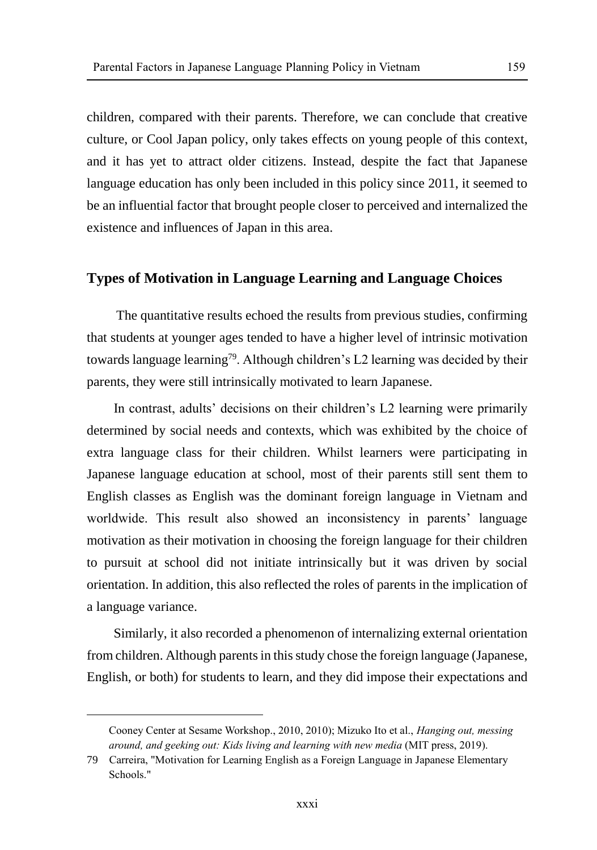children, compared with their parents. Therefore, we can conclude that creative culture, or Cool Japan policy, only takes effects on young people of this context, and it has yet to attract older citizens. Instead, despite the fact that Japanese language education has only been included in this policy since 2011, it seemed to be an influential factor that brought people closer to perceived and internalized the existence and influences of Japan in this area.

#### **Types of Motivation in Language Learning and Language Choices**

The quantitative results echoed the results from previous studies, confirming that students at younger ages tended to have a higher level of intrinsic motivation towards language learning<sup>79</sup>. Although children's L2 learning was decided by their parents, they were still intrinsically motivated to learn Japanese.

In contrast, adults' decisions on their children's L2 learning were primarily determined by social needs and contexts, which was exhibited by the choice of extra language class for their children. Whilst learners were participating in Japanese language education at school, most of their parents still sent them to English classes as English was the dominant foreign language in Vietnam and worldwide. This result also showed an inconsistency in parents' language motivation as their motivation in choosing the foreign language for their children to pursuit at school did not initiate intrinsically but it was driven by social orientation. In addition, this also reflected the roles of parents in the implication of a language variance.

Similarly, it also recorded a phenomenon of internalizing external orientation from children. Although parents in this study chose the foreign language (Japanese, English, or both) for students to learn, and they did impose their expectations and

Cooney Center at Sesame Workshop., 2010, 2010); Mizuko Ito et al., *Hanging out, messing around, and geeking out: Kids living and learning with new media* (MIT press, 2019).

<sup>79</sup> Carreira, "Motivation for Learning English as a Foreign Language in Japanese Elementary Schools."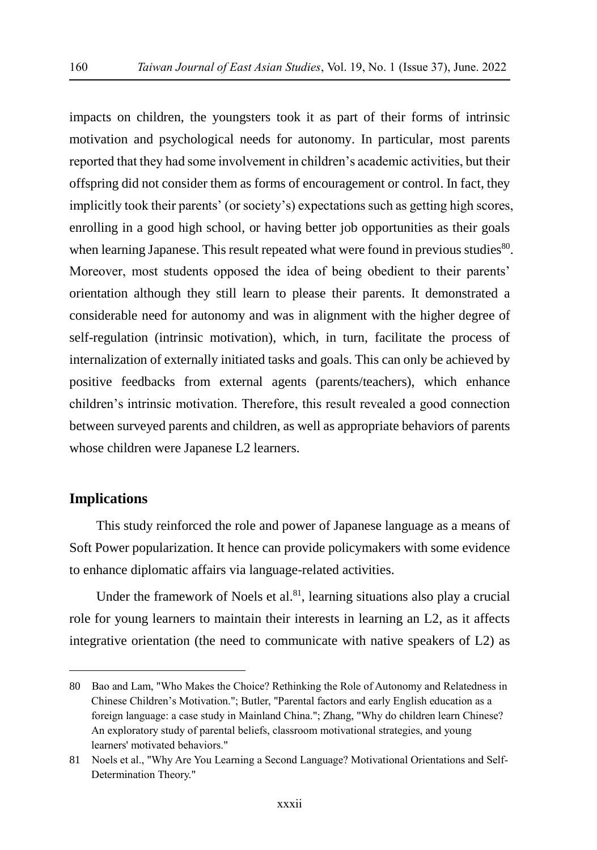impacts on children, the youngsters took it as part of their forms of intrinsic motivation and psychological needs for autonomy. In particular, most parents reported that they had some involvement in children's academic activities, but their offspring did not consider them as forms of encouragement or control. In fact, they implicitly took their parents' (or society's) expectations such as getting high scores, enrolling in a good high school, or having better job opportunities as their goals when learning Japanese. This result repeated what were found in previous studies<sup>80</sup>. Moreover, most students opposed the idea of being obedient to their parents' orientation although they still learn to please their parents. It demonstrated a considerable need for autonomy and was in alignment with the higher degree of self-regulation (intrinsic motivation), which, in turn, facilitate the process of internalization of externally initiated tasks and goals. This can only be achieved by positive feedbacks from external agents (parents/teachers), which enhance children's intrinsic motivation. Therefore, this result revealed a good connection between surveyed parents and children, as well as appropriate behaviors of parents whose children were Japanese L2 learners.

### **Implications**

 $\overline{a}$ 

This study reinforced the role and power of Japanese language as a means of Soft Power popularization. It hence can provide policymakers with some evidence to enhance diplomatic affairs via language-related activities.

Under the framework of Noels et al. $81$ , learning situations also play a crucial role for young learners to maintain their interests in learning an L2, as it affects integrative orientation (the need to communicate with native speakers of L2) as

<sup>80</sup> Bao and Lam, "Who Makes the Choice? Rethinking the Role of Autonomy and Relatedness in Chinese Children's Motivation."; Butler, "Parental factors and early English education as a foreign language: a case study in Mainland China."; Zhang, "Why do children learn Chinese? An exploratory study of parental beliefs, classroom motivational strategies, and young learners' motivated behaviors."

<sup>81</sup> Noels et al., "Why Are You Learning a Second Language? Motivational Orientations and Self-Determination Theory."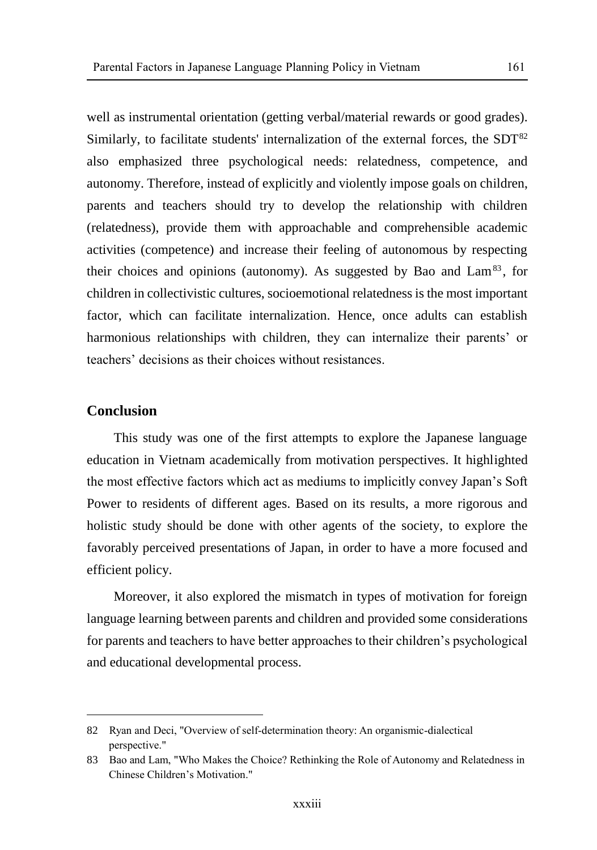well as instrumental orientation (getting verbal/material rewards or good grades). Similarly, to facilitate students' internalization of the external forces, the  $SDT<sup>82</sup>$ also emphasized three psychological needs: relatedness, competence, and autonomy. Therefore, instead of explicitly and violently impose goals on children, parents and teachers should try to develop the relationship with children (relatedness), provide them with approachable and comprehensible academic activities (competence) and increase their feeling of autonomous by respecting their choices and opinions (autonomy). As suggested by Bao and  $\text{Lam}^{83}$ , for children in collectivistic cultures, socioemotional relatedness is the most important factor, which can facilitate internalization. Hence, once adults can establish harmonious relationships with children, they can internalize their parents' or teachers' decisions as their choices without resistances.

# **Conclusion**

 $\overline{a}$ 

This study was one of the first attempts to explore the Japanese language education in Vietnam academically from motivation perspectives. It highlighted the most effective factors which act as mediums to implicitly convey Japan's Soft Power to residents of different ages. Based on its results, a more rigorous and holistic study should be done with other agents of the society, to explore the favorably perceived presentations of Japan, in order to have a more focused and efficient policy.

Moreover, it also explored the mismatch in types of motivation for foreign language learning between parents and children and provided some considerations for parents and teachers to have better approaches to their children's psychological and educational developmental process.

<sup>82</sup> Ryan and Deci, "Overview of self-determination theory: An organismic-dialectical perspective."

<sup>83</sup> Bao and Lam, "Who Makes the Choice? Rethinking the Role of Autonomy and Relatedness in Chinese Children's Motivation."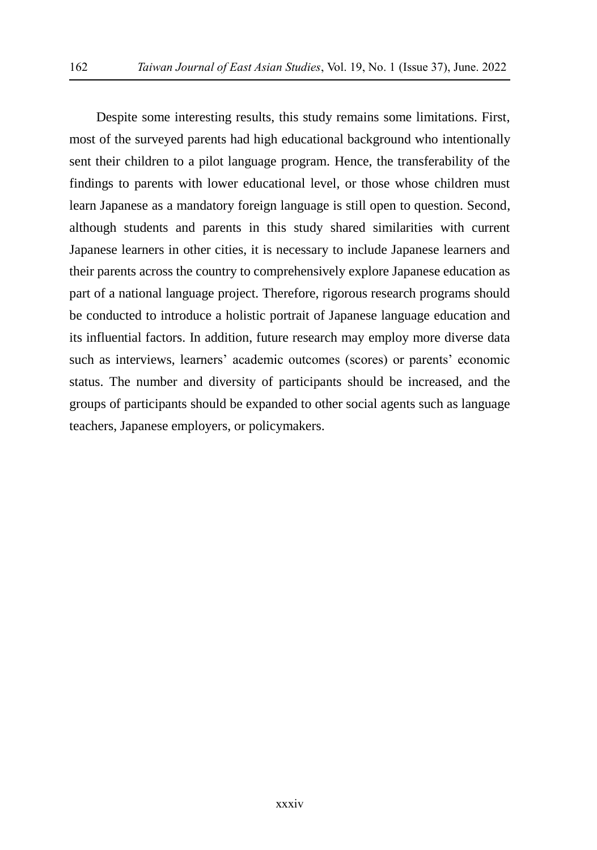Despite some interesting results, this study remains some limitations. First, most of the surveyed parents had high educational background who intentionally sent their children to a pilot language program. Hence, the transferability of the findings to parents with lower educational level, or those whose children must learn Japanese as a mandatory foreign language is still open to question. Second, although students and parents in this study shared similarities with current Japanese learners in other cities, it is necessary to include Japanese learners and their parents across the country to comprehensively explore Japanese education as part of a national language project. Therefore, rigorous research programs should be conducted to introduce a holistic portrait of Japanese language education and its influential factors. In addition, future research may employ more diverse data such as interviews, learners' academic outcomes (scores) or parents' economic status. The number and diversity of participants should be increased, and the groups of participants should be expanded to other social agents such as language teachers, Japanese employers, or policymakers.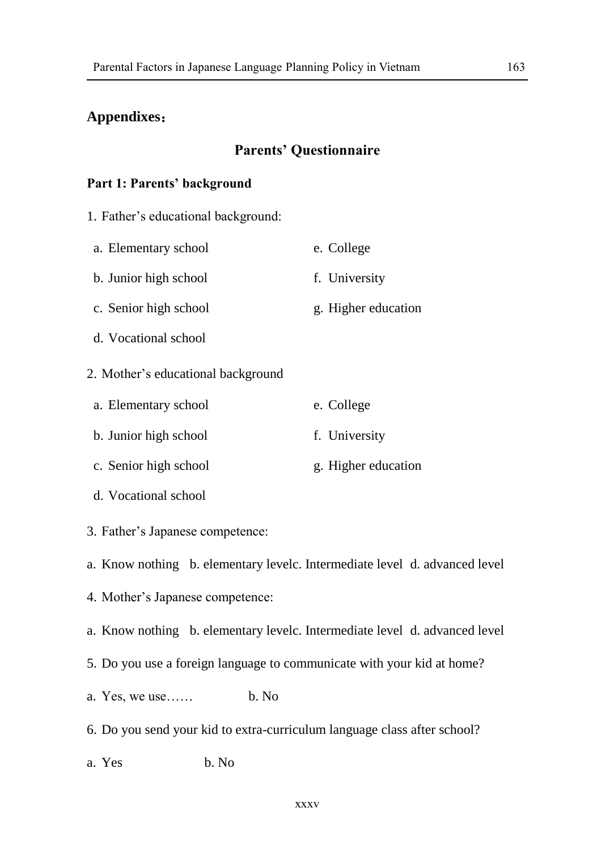### **Appendixes**:

### **Parents' Questionnaire**

#### **Part 1: Parents' background**

- 1. Father's educational background:
- a. Elementary school e. College

b. Junior high school f. University

- c. Senior high school g. Higher education
- d. Vocational school
- 2. Mother's educational background
- a. Elementary school e. College
- b. Junior high school f. University
- c. Senior high school g. Higher education
- d. Vocational school
- 3. Father's Japanese competence:

a. Know nothing b. elementary levelc. Intermediate level d. advanced level

- 4. Mother's Japanese competence:
- a. Know nothing b. elementary levelc. Intermediate level d. advanced level
- 5. Do you use a foreign language to communicate with your kid at home?
- a. Yes, we use…… b. No
- 6. Do you send your kid to extra-curriculum language class after school?
- a Yes b. No.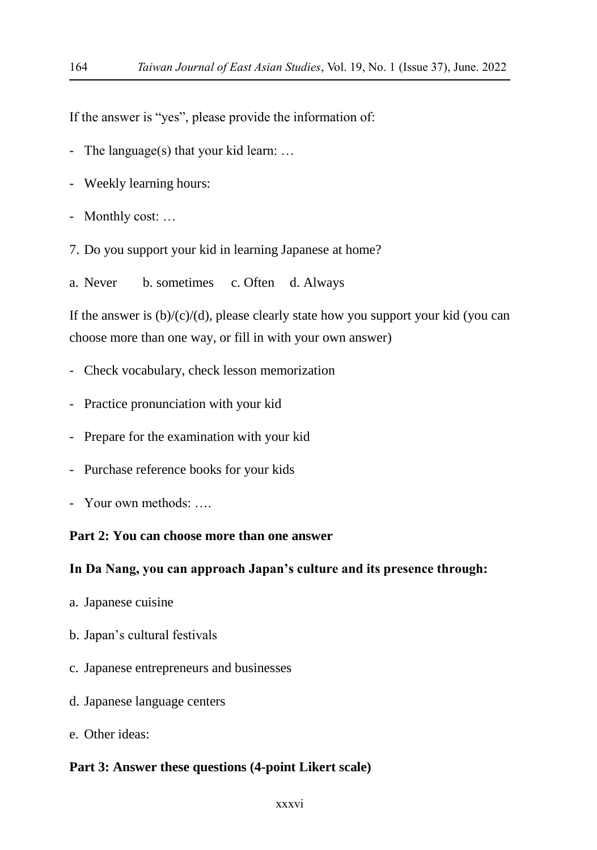If the answer is "yes", please provide the information of:

- The language(s) that your kid learn: …
- Weekly learning hours:
- Monthly cost: …
- 7. Do you support your kid in learning Japanese at home?
- a. Never b. sometimes c. Often d. Always

If the answer is  $(b)/(c)/(d)$ , please clearly state how you support your kid (you can choose more than one way, or fill in with your own answer)

- Check vocabulary, check lesson memorization
- Practice pronunciation with your kid
- Prepare for the examination with your kid
- Purchase reference books for your kids
- Your own methods: ….

### **Part 2: You can choose more than one answer**

#### **In Da Nang, you can approach Japan's culture and its presence through:**

- a. Japanese cuisine
- b. Japan's cultural festivals
- c. Japanese entrepreneurs and businesses
- d. Japanese language centers
- e. Other ideas:

#### **Part 3: Answer these questions (4-point Likert scale)**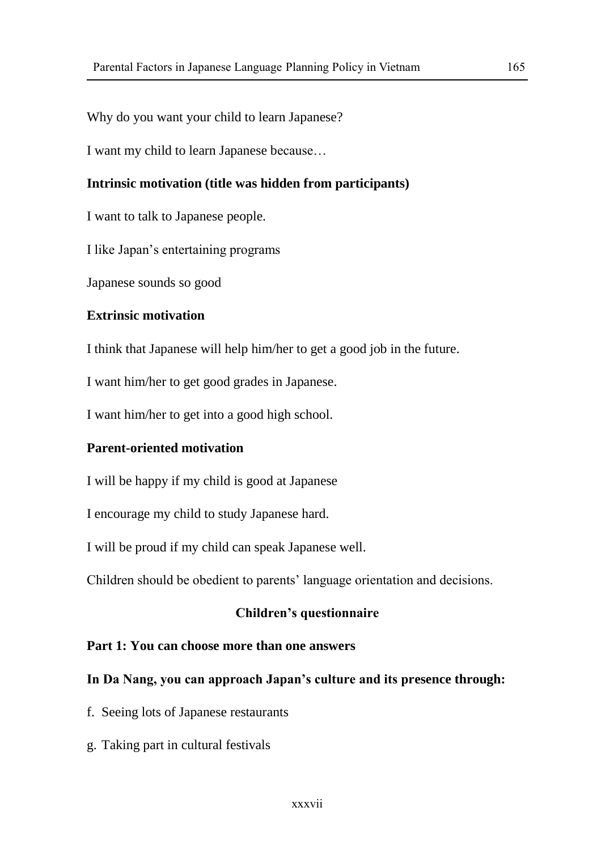Why do you want your child to learn Japanese?

I want my child to learn Japanese because…

# **Intrinsic motivation (title was hidden from participants)**

I want to talk to Japanese people.

I like Japan's entertaining programs

Japanese sounds so good

### **Extrinsic motivation**

I think that Japanese will help him/her to get a good job in the future.

I want him/her to get good grades in Japanese.

I want him/her to get into a good high school.

### **Parent-oriented motivation**

I will be happy if my child is good at Japanese

I encourage my child to study Japanese hard.

I will be proud if my child can speak Japanese well.

Children should be obedient to parents' language orientation and decisions.

#### **Children's questionnaire**

# **Part 1: You can choose more than one answers**

#### **In Da Nang, you can approach Japan's culture and its presence through:**

f. Seeing lots of Japanese restaurants

g. Taking part in cultural festivals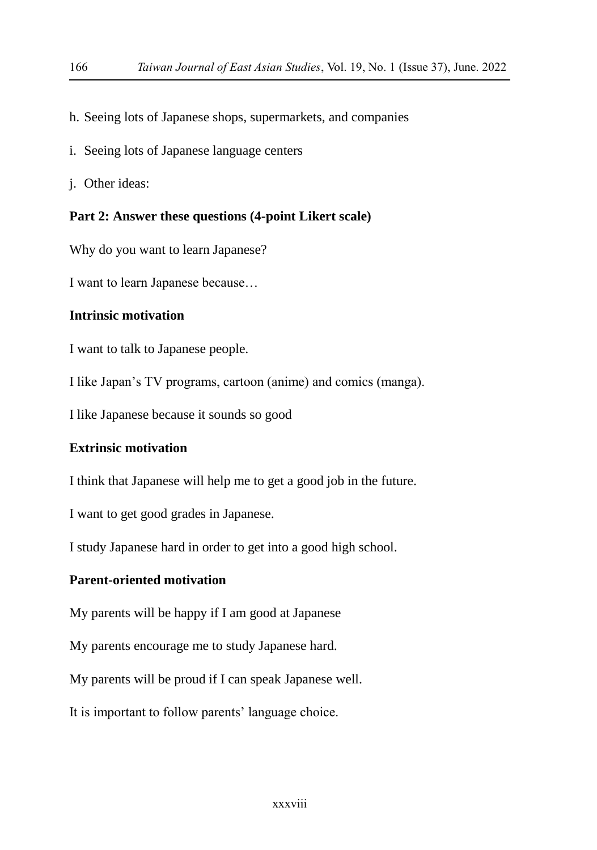- h. Seeing lots of Japanese shops, supermarkets, and companies
- i. Seeing lots of Japanese language centers
- j. Other ideas:

#### **Part 2: Answer these questions (4-point Likert scale)**

Why do you want to learn Japanese?

I want to learn Japanese because…

### **Intrinsic motivation**

I want to talk to Japanese people.

I like Japan's TV programs, cartoon (anime) and comics (manga).

I like Japanese because it sounds so good

### **Extrinsic motivation**

I think that Japanese will help me to get a good job in the future.

I want to get good grades in Japanese.

I study Japanese hard in order to get into a good high school.

# **Parent-oriented motivation**

My parents will be happy if I am good at Japanese

My parents encourage me to study Japanese hard.

My parents will be proud if I can speak Japanese well.

It is important to follow parents' language choice.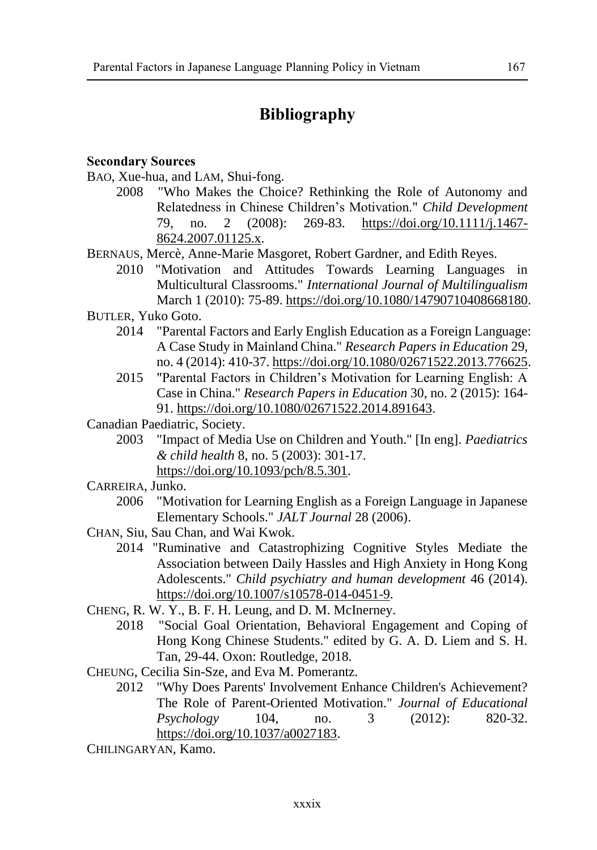# **Bibliography**

### **Secondary Sources**

BAO, Xue-hua, and LAM, Shui-fong.

- 2008 "Who Makes the Choice? Rethinking the Role of Autonomy and Relatedness in Chinese Children's Motivation." *Child Development*  79, no. 2 (2008): 269-83. [https://doi.org/10.1111/j.1467-](https://doi.org/10.1111/j.1467-8624.2007.01125.x) [8624.2007.01125.x.](https://doi.org/10.1111/j.1467-8624.2007.01125.x)
- BERNAUS, Mercè, Anne-Marie Masgoret, Robert Gardner, and Edith Reyes.
	- 2010 "Motivation and Attitudes Towards Learning Languages in Multicultural Classrooms." *International Journal of Multilingualism*  March 1 (2010): 75-89. [https://doi.org/10.1080/14790710408668180.](https://doi.org/10.1080/14790710408668180)
- BUTLER, Yuko Goto.
	- 2014 "Parental Factors and Early English Education as a Foreign Language: A Case Study in Mainland China." *Research Papers in Education* 29, no. 4 (2014): 410-37[. https://doi.org/10.1080/02671522.2013.776625.](https://doi.org/10.1080/02671522.2013.776625)
	- 2015 "Parental Factors in Children's Motivation for Learning English: A Case in China." *Research Papers in Education* 30, no. 2 (2015): 164- 91. [https://doi.org/10.1080/02671522.2014.891643.](https://doi.org/10.1080/02671522.2014.891643)
- Canadian Paediatric, Society.
	- 2003 "Impact of Media Use on Children and Youth." [In eng]. *Paediatrics & child health* 8, no. 5 (2003): 301-17. [https://doi.org/10.1093/pch/8.5.301.](https://doi.org/10.1093/pch/8.5.301)
- CARREIRA, Junko.
	- 2006 "Motivation for Learning English as a Foreign Language in Japanese Elementary Schools." *JALT Journal* 28 (2006).
- CHAN, Siu, Sau Chan, and Wai Kwok.
	- 2014 "Ruminative and Catastrophizing Cognitive Styles Mediate the Association between Daily Hassles and High Anxiety in Hong Kong Adolescents." *Child psychiatry and human development* 46 (2014). [https://doi.org/10.1007/s10578-014-0451-9.](https://doi.org/10.1007/s10578-014-0451-9)
- CHENG, R. W. Y., B. F. H. Leung, and D. M. McInerney.
	- 2018 "Social Goal Orientation, Behavioral Engagement and Coping of Hong Kong Chinese Students." edited by G. A. D. Liem and S. H. Tan, 29-44. Oxon: Routledge, 2018.
- CHEUNG, Cecilia Sin-Sze, and Eva M. Pomerantz.
	- 2012 "Why Does Parents' Involvement Enhance Children's Achievement? The Role of Parent-Oriented Motivation." *Journal of Educational Psychology* 104, no. 3 (2012): 820-32. [https://doi.org/10.1037/a0027183.](https://doi.org/10.1037/a0027183)

CHILINGARYAN, Kamo.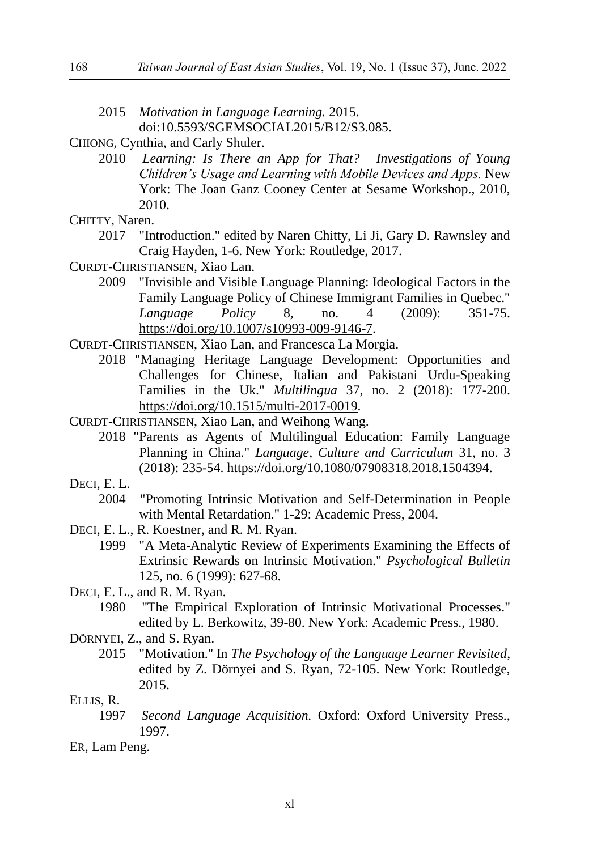- 2015 *Motivation in Language Learning.* 2015. doi:10.5593/SGEMSOCIAL2015/B12/S3.085.
- CHIONG, Cynthia, and Carly Shuler.
	- 2010 *Learning: Is There an App for That? Investigations of Young Children's Usage and Learning with Mobile Devices and Apps.* New York: The Joan Ganz Cooney Center at Sesame Workshop., 2010, 2010.
- CHITTY, Naren.
	- 2017 "Introduction." edited by Naren Chitty, Li Ji, Gary D. Rawnsley and Craig Hayden, 1-6. New York: Routledge, 2017.
- CURDT-CHRISTIANSEN, Xiao Lan.
	- 2009 "Invisible and Visible Language Planning: Ideological Factors in the Family Language Policy of Chinese Immigrant Families in Quebec." *Language Policy* 8, no. 4 (2009): 351-75. [https://doi.org/10.1007/s10993-009-9146-7.](https://doi.org/10.1007/s10993-009-9146-7)
- CURDT-CHRISTIANSEN, Xiao Lan, and Francesca La Morgia.
	- 2018 "Managing Heritage Language Development: Opportunities and Challenges for Chinese, Italian and Pakistani Urdu-Speaking Families in the Uk." *Multilingua* 37, no. 2 (2018): 177-200. [https://doi.org/10.1515/multi-2017-0019.](https://doi.org/10.1515/multi-2017-0019)
- CURDT-CHRISTIANSEN, Xiao Lan, and Weihong Wang.
	- 2018 "Parents as Agents of Multilingual Education: Family Language Planning in China." *Language, Culture and Curriculum* 31, no. 3 (2018): 235-54. [https://doi.org/10.1080/07908318.2018.1504394.](https://doi.org/10.1080/07908318.2018.1504394)
- DECI, E. L.
	- 2004 "Promoting Intrinsic Motivation and Self-Determination in People with Mental Retardation." 1-29: Academic Press, 2004.
- DECI, E. L., R. Koestner, and R. M. Ryan.
	- 1999 "A Meta-Analytic Review of Experiments Examining the Effects of Extrinsic Rewards on Intrinsic Motivation." *Psychological Bulletin*  125, no. 6 (1999): 627-68.
- DECI, E. L., and R. M. Ryan.
	- 1980 "The Empirical Exploration of Intrinsic Motivational Processes." edited by L. Berkowitz, 39-80. New York: Academic Press., 1980.

DÖ RNYEI, Z., and S. Ryan.

2015 "Motivation." In *The Psychology of the Language Learner Revisited*, edited by Z. Dörnyei and S. Ryan, 72-105. New York: Routledge, 2015.

#### ELLIS, R.

1997 *Second Language Acquisition.* Oxford: Oxford University Press., 1997.

ER, Lam Peng.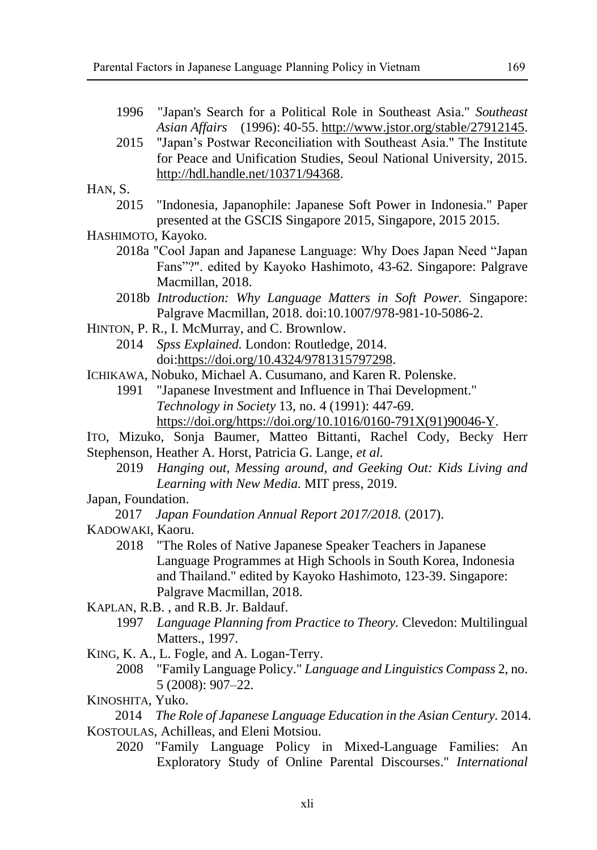- 1996 "Japan's Search for a Political Role in Southeast Asia." *Southeast Asian Affairs* (1996): 40-55[. http://www.jstor.org/stable/27912145.](http://www.jstor.org/stable/27912145)
- 2015 "Japan's Postwar Reconciliation with Southeast Asia." The Institute for Peace and Unification Studies, Seoul National University, 2015. [http://hdl.handle.net/10371/94368.](http://hdl.handle.net/10371/94368)

HAN, S.

2015 "Indonesia, Japanophile: Japanese Soft Power in Indonesia." Paper presented at the GSCIS Singapore 2015, Singapore, 2015 2015.

HASHIMOTO, Kayoko.

- 2018a "Cool Japan and Japanese Language: Why Does Japan Need "Japan Fans"?". edited by Kayoko Hashimoto, 43-62. Singapore: Palgrave Macmillan, 2018.
- 2018b *Introduction: Why Language Matters in Soft Power.* Singapore: Palgrave Macmillan, 2018. doi:10.1007/978-981-10-5086-2.
- HINTON, P. R., I. McMurray, and C. Brownlow.
	- 2014 *Spss Explained.* London: Routledge, 2014. doi[:https://doi.org/10.4324/9781315797298.](https://doi.org/10.4324/9781315797298)
- ICHIKAWA, Nobuko, Michael A. Cusumano, and Karen R. Polenske.
	- 1991 "Japanese Investment and Influence in Thai Development." *Technology in Society* 13, no. 4 (1991): 447-69. [https://doi.org/https://doi.org/10.1016/0160-791X\(91\)90046-Y.](https://doi.org/https:/doi.org/10.1016/0160-791X(91)90046-Y)
- ITO, Mizuko, Sonja Baumer, Matteo Bittanti, Rachel Cody, Becky Herr Stephenson, Heather A. Horst, Patricia G. Lange*, et al.*
	- 2019 *Hanging out, Messing around, and Geeking Out: Kids Living and Learning with New Media.* MIT press, 2019.
- Japan, Foundation.

2017 *Japan Foundation Annual Report 2017/2018.* (2017).

- KADOWAKI, Kaoru.
	- 2018 "The Roles of Native Japanese Speaker Teachers in Japanese Language Programmes at High Schools in South Korea, Indonesia and Thailand." edited by Kayoko Hashimoto, 123-39. Singapore: Palgrave Macmillan, 2018.
- KAPLAN, R.B. , and R.B. Jr. Baldauf.
	- 1997 *Language Planning from Practice to Theory.* Clevedon: Multilingual Matters., 1997.
- KING, K. A., L. Fogle, and A. Logan-Terry.
	- 2008 "Family Language Policy." *Language and Linguistics Compass* 2, no. 5 (2008): 907–22.
- KINOSHITA, Yuko.

2014 *The Role of Japanese Language Education in the Asian Century.* 2014. KOSTOULAS, Achilleas, and Eleni Motsiou.

2020 "Family Language Policy in Mixed-Language Families: An Exploratory Study of Online Parental Discourses." *International*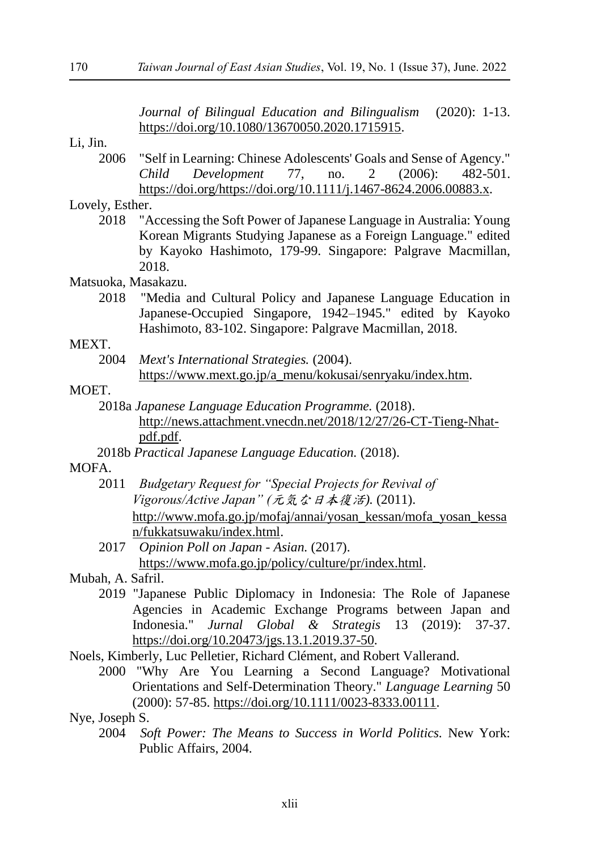*Journal of Bilingual Education and Bilingualism* (2020): 1-13. [https://doi.org/10.1080/13670050.2020.1715915.](https://doi.org/10.1080/13670050.2020.1715915)

#### Li, Jin.

2006 "Self in Learning: Chinese Adolescents' Goals and Sense of Agency." *Child Development* 77, no. 2 (2006): 482-501. [https://doi.org/https://doi.org/10.1111/j.1467-8624.2006.00883.x.](https://doi.org/https:/doi.org/10.1111/j.1467-8624.2006.00883.x)

#### Lovely, Esther.

2018 "Accessing the Soft Power of Japanese Language in Australia: Young Korean Migrants Studying Japanese as a Foreign Language." edited by Kayoko Hashimoto, 179-99. Singapore: Palgrave Macmillan, 2018.

#### Matsuoka, Masakazu.

2018 "Media and Cultural Policy and Japanese Language Education in Japanese-Occupied Singapore, 1942–1945." edited by Kayoko Hashimoto, 83-102. Singapore: Palgrave Macmillan, 2018.

#### MEXT.

2004 *Mext's International Strategies.* (2004). [https://www.mext.go.jp/a\\_menu/kokusai/senryaku/index.htm.](https://www.mext.go.jp/a_menu/kokusai/senryaku/index.htm)

# MOET.

- 2018a *Japanese Language Education Programme.* (2018). [http://news.attachment.vnecdn.net/2018/12/27/26-CT-Tieng-Nhat](http://news.attachment.vnecdn.net/2018/12/27/26-CT-Tieng-Nhat-pdf.pdf)[pdf.pdf.](http://news.attachment.vnecdn.net/2018/12/27/26-CT-Tieng-Nhat-pdf.pdf)
- 2018b *Practical Japanese Language Education.* (2018).

#### MOFA.

- 2011 *Budgetary Request for "Special Projects for Revival of Vigorous/Active Japan" (*元気な日本復活*).* (2011). [http://www.mofa.go.jp/mofaj/annai/yosan\\_kessan/mofa\\_yosan\\_kessa](http://www.mofa.go.jp/mofaj/annai/yosan_kessan/mofa_yosan_kessan/fukkatsuwaku/index.html) [n/fukkatsuwaku/index.html.](http://www.mofa.go.jp/mofaj/annai/yosan_kessan/mofa_yosan_kessan/fukkatsuwaku/index.html)
- 2017 *Opinion Poll on Japan - Asian.* (2017). [https://www.mofa.go.jp/policy/culture/pr/index.html.](https://www.mofa.go.jp/policy/culture/pr/index.html)
- Mubah, A. Safril.
	- 2019 "Japanese Public Diplomacy in Indonesia: The Role of Japanese Agencies in Academic Exchange Programs between Japan and Indonesia." *Jurnal Global & Strategis* 13 (2019): 37-37. [https://doi.org/10.20473/jgs.13.1.2019.37-50.](https://doi.org/10.20473/jgs.13.1.2019.37-50)
- Noels, Kimberly, Luc Pelletier, Richard Clément, and Robert Vallerand.
	- 2000 "Why Are You Learning a Second Language? Motivational Orientations and Self-Determination Theory." *Language Learning* 50 (2000): 57-85. [https://doi.org/10.1111/0023-8333.00111.](https://doi.org/10.1111/0023-8333.00111)

#### Nye, Joseph S.

2004 *Soft Power: The Means to Success in World Politics.* New York: Public Affairs, 2004.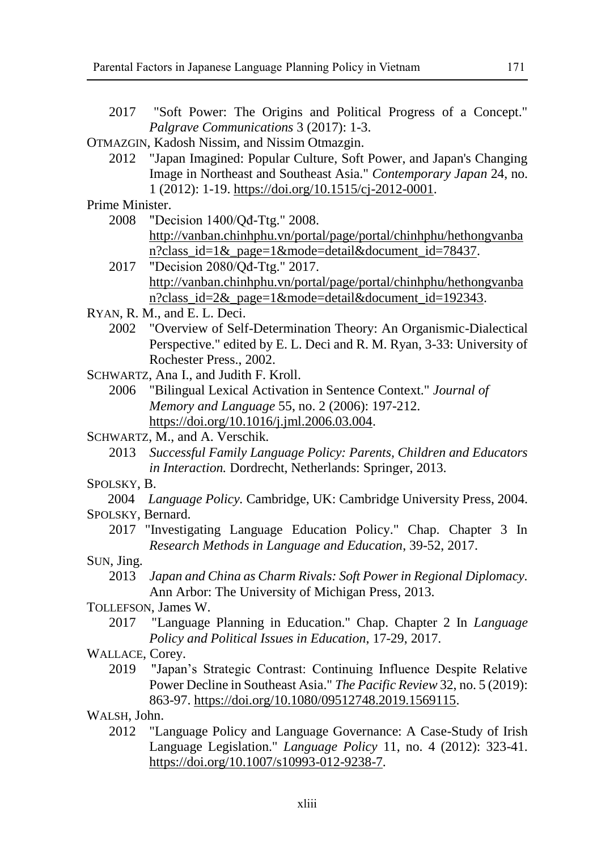- 2017 "Soft Power: The Origins and Political Progress of a Concept." *Palgrave Communications* 3 (2017): 1-3.
- OTMAZGIN, Kadosh Nissim, and Nissim Otmazgin.
	- 2012 "Japan Imagined: Popular Culture, Soft Power, and Japan's Changing Image in Northeast and Southeast Asia." *Contemporary Japan* 24, no. 1 (2012): 1-19. [https://doi.org/10.1515/cj-2012-0001.](https://doi.org/10.1515/cj-2012-0001)

Prime Minister.

- 2008 "Decision 1400/Qđ-Ttg." 2008. [http://vanban.chinhphu.vn/portal/page/portal/chinhphu/hethongvanba](http://vanban.chinhphu.vn/portal/page/portal/chinhphu/hethongvanban?class_id=1&_page=1&mode=detail&document_id=78437) [n?class\\_id=1&\\_page=1&mode=detail&document\\_id=78437.](http://vanban.chinhphu.vn/portal/page/portal/chinhphu/hethongvanban?class_id=1&_page=1&mode=detail&document_id=78437)
- 2017 "Decision 2080/Qđ-Ttg." 2017. [http://vanban.chinhphu.vn/portal/page/portal/chinhphu/hethongvanba](http://vanban.chinhphu.vn/portal/page/portal/chinhphu/hethongvanban?class_id=2&_page=1&mode=detail&document_id=192343) [n?class\\_id=2&\\_page=1&mode=detail&document\\_id=192343.](http://vanban.chinhphu.vn/portal/page/portal/chinhphu/hethongvanban?class_id=2&_page=1&mode=detail&document_id=192343)
- RYAN, R. M., and E. L. Deci.
	- 2002 "Overview of Self-Determination Theory: An Organismic-Dialectical Perspective." edited by E. L. Deci and R. M. Ryan, 3-33: University of Rochester Press., 2002.

SCHWARTZ, Ana I., and Judith F. Kroll.

2006 "Bilingual Lexical Activation in Sentence Context." *Journal of Memory and Language* 55, no. 2 (2006): 197-212. [https://doi.org/10.1016/j.jml.2006.03.004.](https://doi.org/10.1016/j.jml.2006.03.004)

SCHWARTZ, M., and A. Verschik.

2013 *Successful Family Language Policy: Parents, Children and Educators in Interaction.* Dordrecht, Netherlands: Springer, 2013.

# SPOLSKY, B.

- 2004 *Language Policy.* Cambridge, UK: Cambridge University Press, 2004. SPOLSKY, Bernard.
	- 2017 "Investigating Language Education Policy." Chap. Chapter 3 In *Research Methods in Language and Education*, 39-52, 2017.

SUN, Jing.

2013 *Japan and China as Charm Rivals: Soft Power in Regional Diplomacy.* Ann Arbor: The University of Michigan Press, 2013.

TOLLEFSON, James W.

2017 "Language Planning in Education." Chap. Chapter 2 In *Language Policy and Political Issues in Education*, 17-29, 2017.

WALLACE, Corey.

2019 "Japan's Strategic Contrast: Continuing Influence Despite Relative Power Decline in Southeast Asia." *The Pacific Review* 32, no. 5 (2019): 863-97. [https://doi.org/10.1080/09512748.2019.1569115.](https://doi.org/10.1080/09512748.2019.1569115)

WALSH, John.

2012 "Language Policy and Language Governance: A Case-Study of Irish Language Legislation." *Language Policy* 11, no. 4 (2012): 323-41. [https://doi.org/10.1007/s10993-012-9238-7.](https://doi.org/10.1007/s10993-012-9238-7)